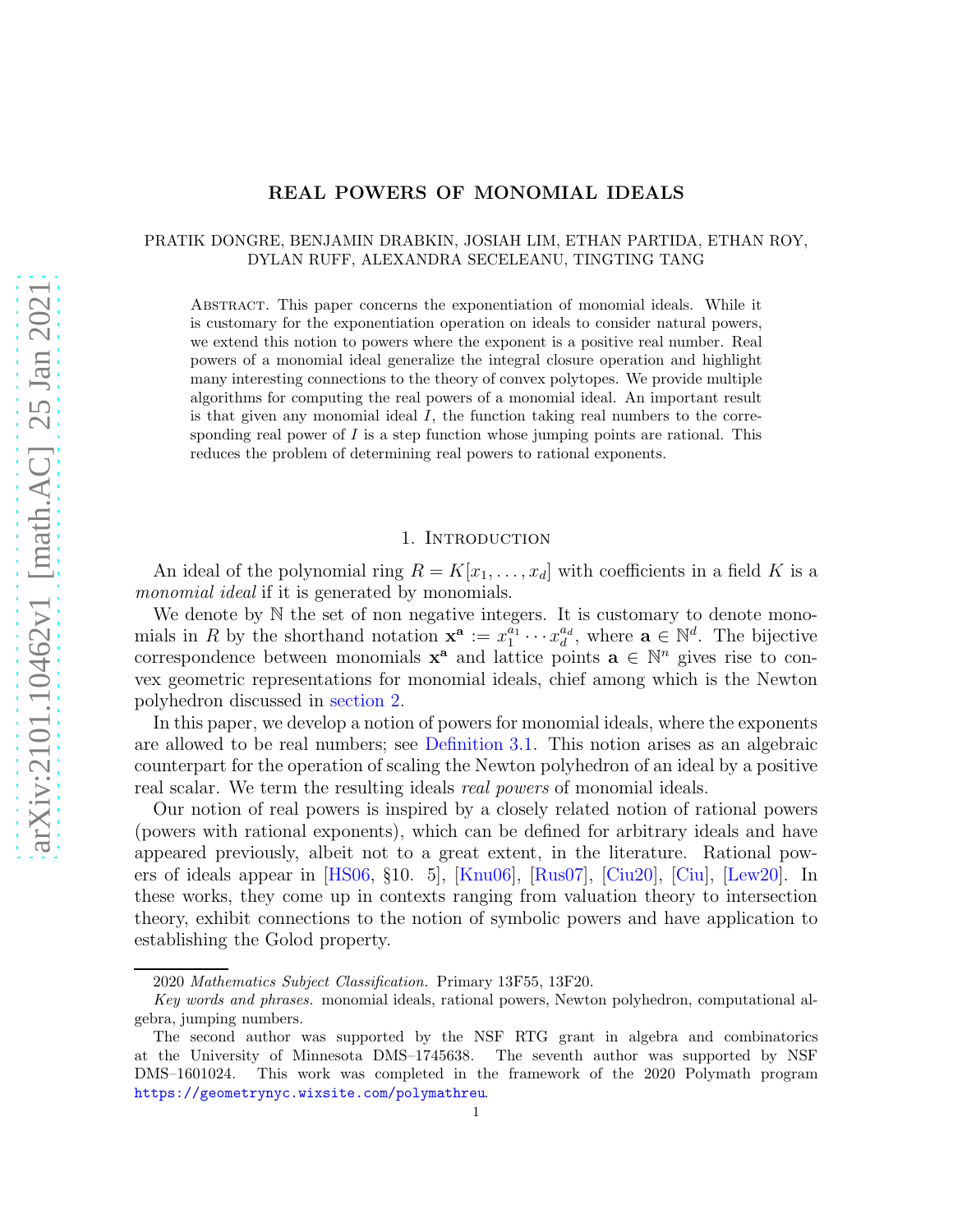#### REAL POWERS OF MONOMIAL IDEALS

# PRATIK DONGRE, BENJAMIN DRABKIN, JOSIAH LIM, ETHAN PARTIDA, ETHAN ROY, DYLAN RUFF, ALEXANDRA SECELEANU, TINGTING TANG

Abstract. This paper concerns the exponentiation of monomial ideals. While it is customary for the exponentiation operation on ideals to consider natural powers, we extend this notion to powers where the exponent is a positive real number. Real powers of a monomial ideal generalize the integral closure operation and highlight many interesting connections to the theory of convex polytopes. We provide multiple algorithms for computing the real powers of a monomial ideal. An important result is that given any monomial ideal  $I$ , the function taking real numbers to the corresponding real power of  $I$  is a step function whose jumping points are rational. This reduces the problem of determining real powers to rational exponents.

### 1. Introduction

An ideal of the polynomial ring  $R = K[x_1, \ldots, x_d]$  with coefficients in a field K is a monomial ideal if it is generated by monomials.

We denote by  $\mathbb N$  the set of non negative integers. It is customary to denote monomials in R by the shorthand notation  $\mathbf{x}^{\mathbf{a}} := x_1^{a_1}$  $\frac{a_1}{1} \cdots x_d^{a_d}$  $\mathbf{a}_d^{a_d}$ , where  $\mathbf{a} \in \mathbb{N}^d$ . The bijective correspondence between monomials  $x^a$  and lattice points  $a \in \mathbb{N}^n$  gives rise to convex geometric representations for monomial ideals, chief among which is the Newton polyhedron discussed in [section 2.](#page-1-0)

In this paper, we develop a notion of powers for monomial ideals, where the exponents are allowed to be real numbers; see [Definition 3.1.](#page-3-0) This notion arises as an algebraic counterpart for the operation of scaling the Newton polyhedron of an ideal by a positive real scalar. We term the resulting ideals *real powers* of monomial ideals.

Our notion of real powers is inspired by a closely related notion of rational powers (powers with rational exponents), which can be defined for arbitrary ideals and have appeared previously, albeit not to a great extent, in the literature. Rational powers of ideals appear in [\[HS06,](#page-20-0) §10. 5], [\[Knu06\]](#page-20-1), [\[Rus07\]](#page-20-2), [\[Ciu20\]](#page-20-3), [\[Ciu\]](#page-20-4), [\[Lew20\]](#page-20-5). In these works, they come up in contexts ranging from valuation theory to intersection theory, exhibit connections to the notion of symbolic powers and have application to establishing the Golod property.

<sup>2020</sup> Mathematics Subject Classification. Primary 13F55, 13F20.

Key words and phrases. monomial ideals, rational powers, Newton polyhedron, computational algebra, jumping numbers.

The second author was supported by the NSF RTG grant in algebra and combinatorics at the University of Minnesota DMS–1745638. The seventh author was supported by NSF DMS–1601024. This work was completed in the framework of the 2020 Polymath program <https://geometrynyc.wixsite.com/polymathreu>.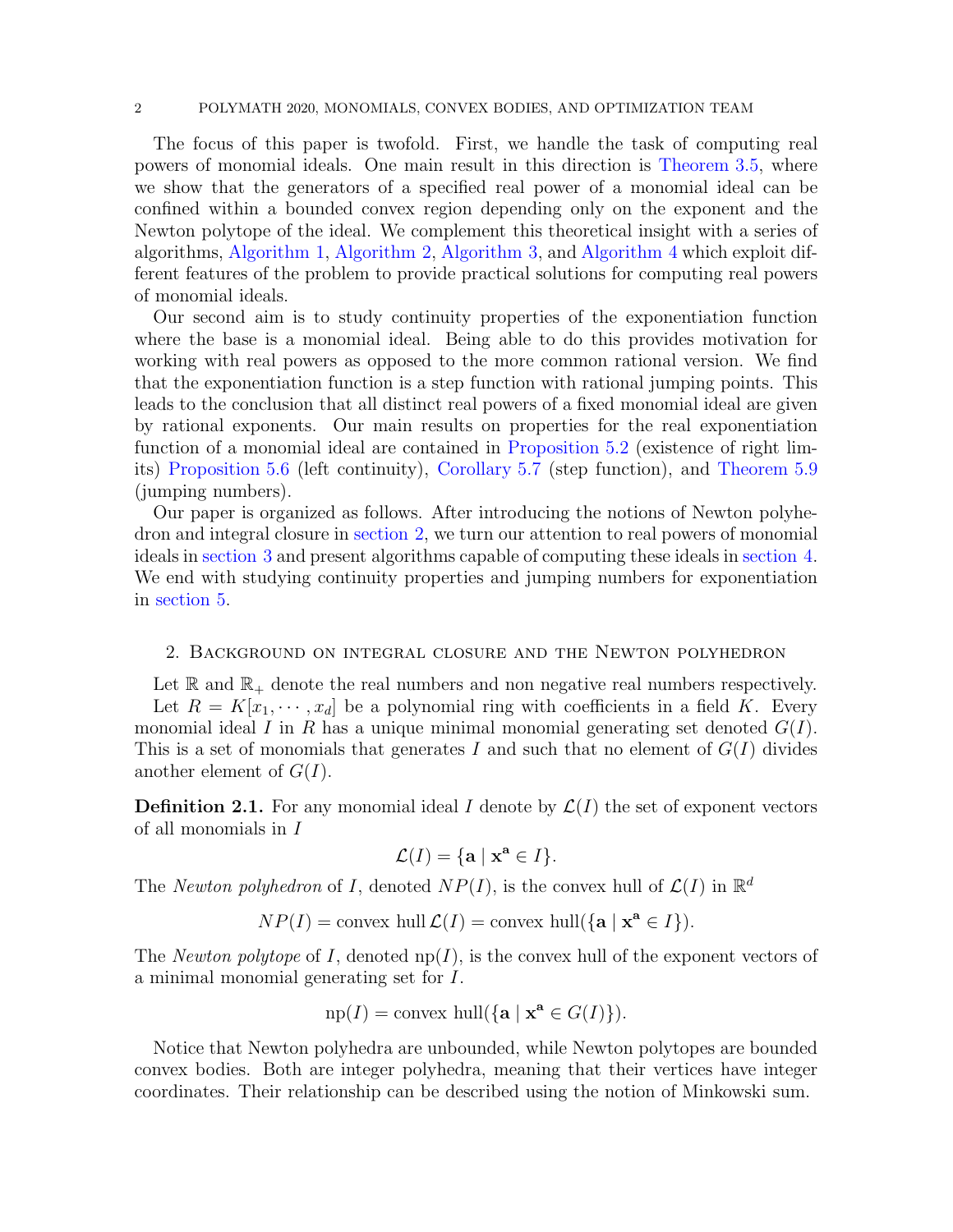#### 2 POLYMATH 2020, MONOMIALS, CONVEX BODIES, AND OPTIMIZATION TEAM

The focus of this paper is twofold. First, we handle the task of computing real powers of monomial ideals. One main result in this direction is [Theorem 3.5,](#page-5-0) where we show that the generators of a specified real power of a monomial ideal can be confined within a bounded convex region depending only on the exponent and the Newton polytope of the ideal. We complement this theoretical insight with a series of algorithms, [Algorithm 1,](#page-6-0) [Algorithm 2,](#page-8-0) [Algorithm 3,](#page-9-0) and [Algorithm 4](#page-10-0) which exploit different features of the problem to provide practical solutions for computing real powers of monomial ideals.

Our second aim is to study continuity properties of the exponentiation function where the base is a monomial ideal. Being able to do this provides motivation for working with real powers as opposed to the more common rational version. We find that the exponentiation function is a step function with rational jumping points. This leads to the conclusion that all distinct real powers of a fixed monomial ideal are given by rational exponents. Our main results on properties for the real exponentiation function of a monomial ideal are contained in [Proposition 5.2](#page-13-0) (existence of right limits) [Proposition 5.6](#page-14-0) (left continuity), [Corollary 5.7](#page-14-1) (step function), and [Theorem 5.9](#page-16-0) (jumping numbers).

Our paper is organized as follows. After introducing the notions of Newton polyhedron and integral closure in [section 2,](#page-1-0) we turn our attention to real powers of monomial ideals in [section 3](#page-3-1) and present algorithms capable of computing these ideals in [section 4.](#page-5-1) We end with studying continuity properties and jumping numbers for exponentiation in [section 5.](#page-13-1)

## <span id="page-1-0"></span>2. Background on integral closure and the Newton polyhedron

Let  $\mathbb R$  and  $\mathbb R_+$  denote the real numbers and non negative real numbers respectively. Let  $R = K[x_1, \dots, x_d]$  be a polynomial ring with coefficients in a field K. Every monomial ideal I in R has a unique minimal monomial generating set denoted  $G(I)$ . This is a set of monomials that generates I and such that no element of  $G(I)$  divides another element of  $G(I)$ .

**Definition 2.1.** For any monomial ideal I denote by  $\mathcal{L}(I)$  the set of exponent vectors of all monomials in I

$$
\mathcal{L}(I) = \{ \mathbf{a} \mid \mathbf{x}^{\mathbf{a}} \in I \}.
$$

The Newton polyhedron of I, denoted  $NP(I)$ , is the convex hull of  $\mathcal{L}(I)$  in  $\mathbb{R}^d$ 

 $NP(I) = \text{convex hull }\mathcal{L}(I) = \text{convex hull }\{\mathbf{a} \mid \mathbf{x}^{\mathbf{a}} \in I\}.$ 

The *Newton polytope* of I, denoted  $np(I)$ , is the convex hull of the exponent vectors of a minimal monomial generating set for I.

$$
np(I) = \text{convex hull}(\{a \mid x^a \in G(I)\}).
$$

Notice that Newton polyhedra are unbounded, while Newton polytopes are bounded convex bodies. Both are integer polyhedra, meaning that their vertices have integer coordinates. Their relationship can be described using the notion of Minkowski sum.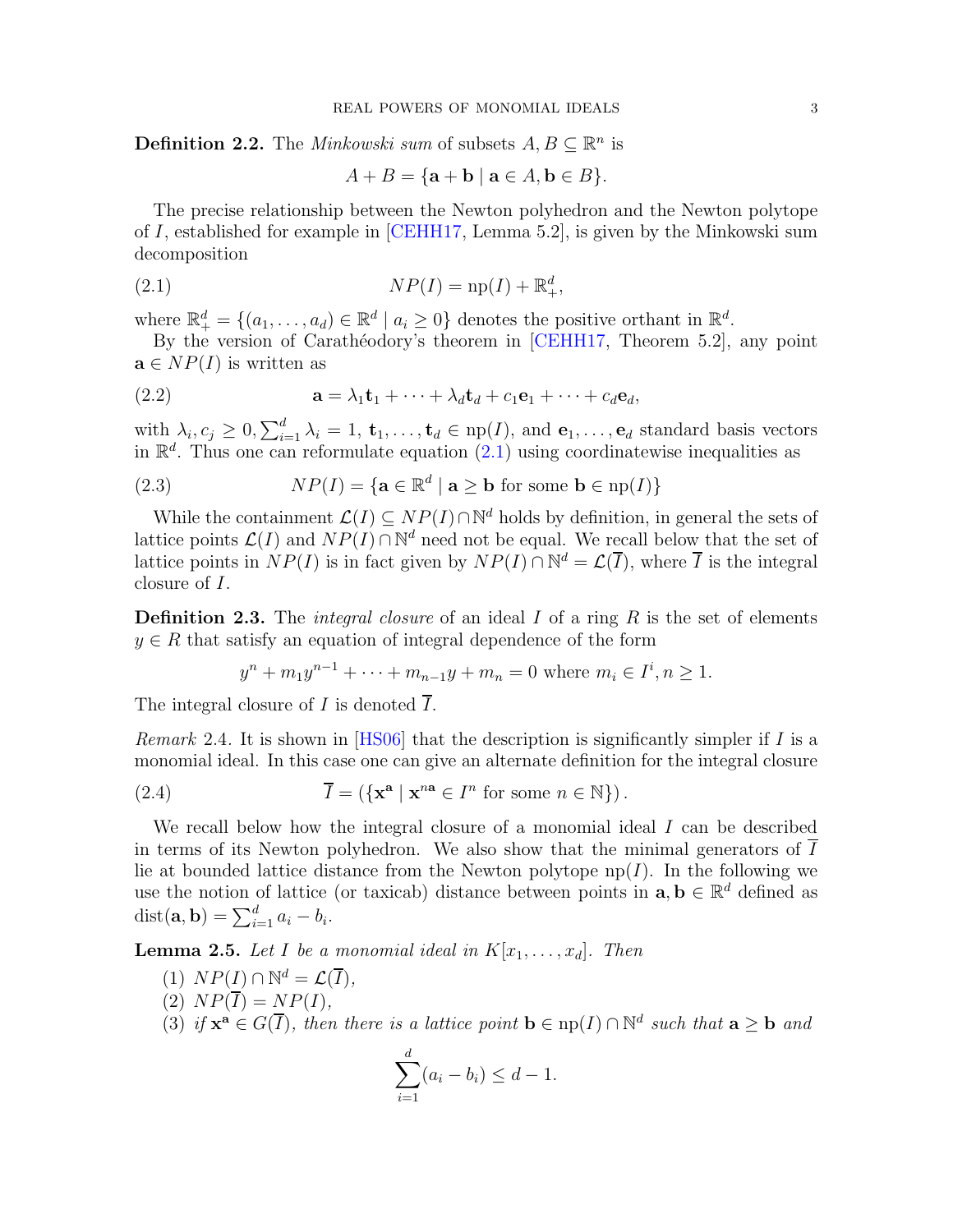**Definition 2.2.** The *Minkowski sum* of subsets  $A, B \subseteq \mathbb{R}^n$  is

<span id="page-2-0"></span>
$$
A + B = \{ \mathbf{a} + \mathbf{b} \mid \mathbf{a} \in A, \mathbf{b} \in B \}.
$$

The precise relationship between the Newton polyhedron and the Newton polytope of I, established for example in [\[CEHH17,](#page-20-6) Lemma 5.2], is given by the Minkowski sum decomposition

$$
(2.1) \t\t NP(I) = \text{np}(I) + \mathbb{R}^d_+,
$$

where  $\mathbb{R}^d_+ = \{(a_1, \ldots, a_d) \in \mathbb{R}^d \mid a_i \geq 0\}$  denotes the positive orthant in  $\mathbb{R}^d$ .

By the version of Carathéodory's theorem in [\[CEHH17,](#page-20-6) Theorem 5.2], any point  $\mathbf{a} \in NP(I)$  is written as

(2.2) 
$$
\mathbf{a} = \lambda_1 \mathbf{t}_1 + \dots + \lambda_d \mathbf{t}_d + c_1 \mathbf{e}_1 + \dots + c_d \mathbf{e}_d,
$$

with  $\lambda_i$ ,  $c_j \geq 0$ ,  $\sum_{i=1}^d \lambda_i = 1$ ,  $\mathbf{t}_1, \ldots, \mathbf{t}_d \in np(I)$ , and  $\mathbf{e}_1, \ldots, \mathbf{e}_d$  standard basis vectors in  $\mathbb{R}^d$ . Thus one can reformulate equation  $(2.1)$  using coordinatewise inequalities as

<span id="page-2-1"></span>(2.3) 
$$
NP(I) = \{ \mathbf{a} \in \mathbb{R}^d \mid \mathbf{a} \geq \mathbf{b} \text{ for some } \mathbf{b} \in np(I) \}
$$

While the containment  $\mathcal{L}(I) \subseteq NP(I) \cap \mathbb{N}^d$  holds by definition, in general the sets of lattice points  $\mathcal{L}(I)$  and  $NP(I) \cap \mathbb{N}^d$  need not be equal. We recall below that the set of lattice points in  $NP(I)$  is in fact given by  $NP(I) \cap \mathbb{N}^d = \mathcal{L}(\overline{I})$ , where  $\overline{I}$  is the integral closure of I.

**Definition 2.3.** The *integral closure* of an ideal  $I$  of a ring  $R$  is the set of elements  $y \in R$  that satisfy an equation of integral dependence of the form

$$
y^{n} + m_{1}y^{n-1} + \cdots + m_{n-1}y + m_{n} = 0
$$
 where  $m_{i} \in I^{i}, n \ge 1$ .

The integral closure of I is denoted  $\overline{I}$ .

*Remark* 2.4. It is shown in [\[HS06\]](#page-20-0) that the description is significantly simpler if I is a monomial ideal. In this case one can give an alternate definition for the integral closure

(2.4) 
$$
\overline{I} = (\{ \mathbf{x}^{\mathbf{a}} \mid \mathbf{x}^{n\mathbf{a}} \in I^{n} \text{ for some } n \in \mathbb{N} \}).
$$

We recall below how the integral closure of a monomial ideal  $I$  can be described in terms of its Newton polyhedron. We also show that the minimal generators of  $I$ lie at bounded lattice distance from the Newton polytope  $np(I)$ . In the following we use the notion of lattice (or taxicab) distance between points in  $\mathbf{a}, \mathbf{b} \in \mathbb{R}^d$  defined as  $dist(**a**, **b**) = \sum_{i=1}^{d} a_i - b_i.$ 

<span id="page-2-2"></span>**Lemma 2.5.** Let I be a monomial ideal in  $K[x_1, \ldots, x_d]$ . Then

- (1)  $NP(I) \cap \mathbb{N}^d = \mathcal{L}(\overline{I}),$
- (2)  $NP(\overline{I}) = NP(I)$ ,
- (3) if  $\mathbf{x}^{\mathbf{a}} \in G(\overline{I})$ , then there is a lattice point  $\mathbf{b} \in \text{np}(I) \cap \mathbb{N}^d$  such that  $\mathbf{a} \geq \mathbf{b}$  and

$$
\sum_{i=1}^{d} (a_i - b_i) \le d - 1.
$$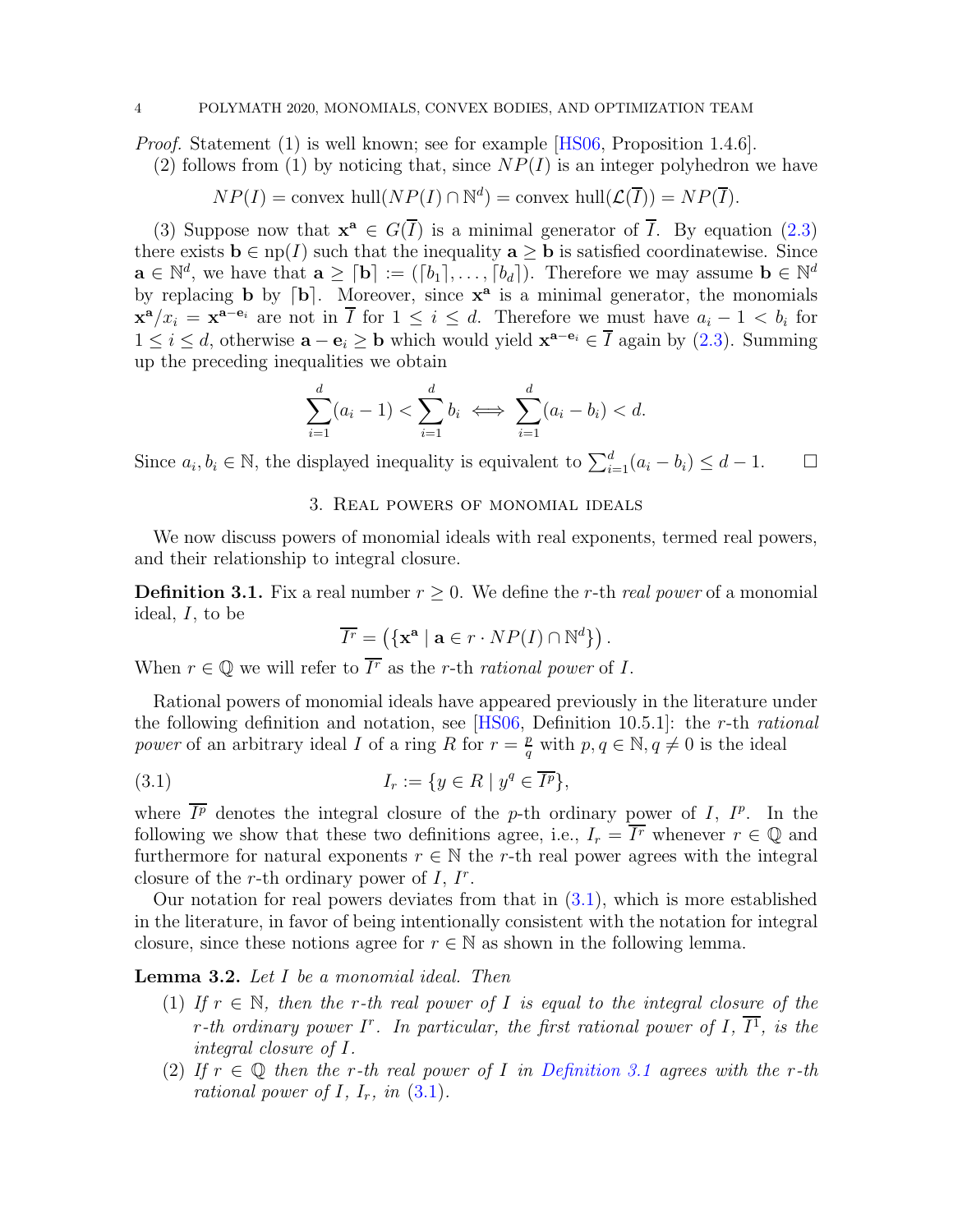Proof. Statement (1) is well known; see for example [\[HS06,](#page-20-0) Proposition 1.4.6].

(2) follows from (1) by noticing that, since  $NP(I)$  is an integer polyhedron we have

$$
NP(I) = \text{convex hull}(NP(I) \cap \mathbb{N}^d) = \text{convex hull}(\mathcal{L}(\overline{I})) = NP(\overline{I}).
$$

(3) Suppose now that  $\mathbf{x}^a \in G(\overline{I})$  is a minimal generator of  $\overline{I}$ . By equation [\(2.3\)](#page-2-1) there exists  $\mathbf{b} \in \text{np}(I)$  such that the inequality  $\mathbf{a} \geq \mathbf{b}$  is satisfied coordinatewise. Since  $\mathbf{a} \in \mathbb{N}^d$ , we have that  $\mathbf{a} \geq [\mathbf{b}] := ([b_1], \ldots, [b_d])$ . Therefore we may assume  $\mathbf{b} \in \mathbb{N}^d$ by replacing **b** by  $\lceil \mathbf{b} \rceil$ . Moreover, since  $\mathbf{x}^{\mathbf{a}}$  is a minimal generator, the monomials  $\mathbf{x}^{\mathbf{a}}/x_i = \mathbf{x}^{\mathbf{a}-\mathbf{e}_i}$  are not in  $\overline{I}$  for  $1 \leq i \leq d$ . Therefore we must have  $a_i - 1 < b_i$  for  $1 \leq i \leq d$ , otherwise  $\mathbf{a} - \mathbf{e}_i \geq \mathbf{b}$  which would yield  $\mathbf{x}^{\mathbf{a}-\mathbf{e}_i} \in \overline{I}$  again by [\(2.3\)](#page-2-1). Summing up the preceding inequalities we obtain

$$
\sum_{i=1}^{d} (a_i - 1) < \sum_{i=1}^{d} b_i \iff \sum_{i=1}^{d} (a_i - b_i) < d.
$$

<span id="page-3-1"></span>Since  $a_i, b_i \in \mathbb{N}$ , the displayed inequality is equivalent to  $\sum_{i=1}^{d} (a_i - b_i) \leq d - 1$ .  $\Box$ 

# 3. Real powers of monomial ideals

<span id="page-3-0"></span>We now discuss powers of monomial ideals with real exponents, termed real powers, and their relationship to integral closure.

**Definition 3.1.** Fix a real number  $r \geq 0$ . We define the r-th real power of a monomial ideal,  $I$ , to be

<span id="page-3-2"></span>
$$
\overline{I^r} = (\{ \mathbf{x}^{\mathbf{a}} \mid \mathbf{a} \in r \cdot NP(I) \cap \mathbb{N}^d \}) .
$$

When  $r \in \mathbb{Q}$  we will refer to  $\overline{I^r}$  as the r-th rational power of I.

Rational powers of monomial ideals have appeared previously in the literature under the following definition and notation, see [\[HS06,](#page-20-0) Definition 10.5.1]: the r-th rational power of an arbitrary ideal I of a ring R for  $r = \frac{p}{q}$  $\frac{p}{q}$  with  $p, q \in \mathbb{N}, q \neq 0$  is the ideal

(3.1) 
$$
I_r := \{ y \in R \mid y^q \in \overline{I^p} \},
$$

where  $\overline{I^p}$  denotes the integral closure of the p-th ordinary power of I,  $I^p$ . In the following we show that these two definitions agree, i.e.,  $I_r = \overline{I^r}$  whenever  $r \in \mathbb{Q}$  and furthermore for natural exponents  $r \in \mathbb{N}$  the r-th real power agrees with the integral closure of the r-th ordinary power of  $I, I^r$ .

Our notation for real powers deviates from that in  $(3.1)$ , which is more established in the literature, in favor of being intentionally consistent with the notation for integral closure, since these notions agree for  $r \in \mathbb{N}$  as shown in the following lemma.

### <span id="page-3-3"></span>Lemma 3.2. Let I be a monomial ideal. Then

- (1) If  $r \in \mathbb{N}$ , then the r-th real power of I is equal to the integral closure of the r-th ordinary power I<sup>r</sup>. In particular, the first rational power of I,  $\overline{I^1}$ , is the integral closure of I.
- (2) If  $r \in \mathbb{Q}$  then the r-th real power of I in [Definition 3.1](#page-3-0) agrees with the r-th rational power of I,  $I_r$ , in  $(3.1)$ .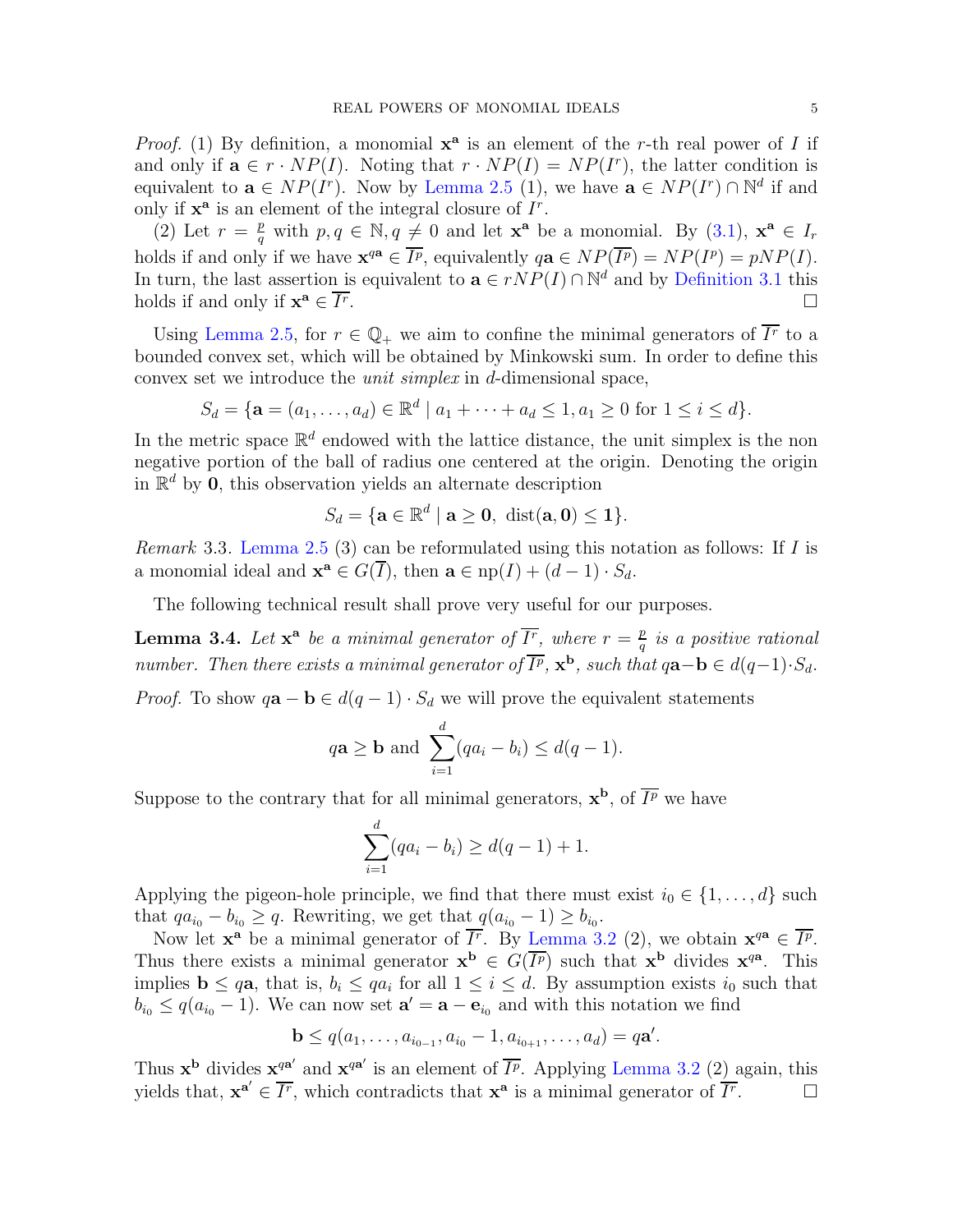*Proof.* (1) By definition, a monomial  $x^a$  is an element of the r-th real power of I if and only if  $\mathbf{a} \in r \cdot NP(I)$ . Noting that  $r \cdot NP(I) = NP(I^r)$ , the latter condition is equivalent to  $\mathbf{a} \in NP(I^r)$ . Now by [Lemma 2.5](#page-2-2) (1), we have  $\mathbf{a} \in NP(I^r) \cap \mathbb{N}^d$  if and only if  $\mathbf{x}^{\mathbf{a}}$  is an element of the integral closure of  $I^r$ .

(2) Let  $r = \frac{p}{q}$  $\frac{p}{q}$  with  $p, q \in \mathbb{N}, q \neq 0$  and let  $\mathbf{x}^{\mathbf{a}}$  be a monomial. By  $(3.1)$ ,  $\mathbf{x}^{\mathbf{a}} \in I_r$ holds if and only if we have  $\mathbf{x}^{q\mathbf{a}} \in \overline{I^p}$ , equivalently  $q\mathbf{a} \in NP(\overline{I^p}) = NP(I^p) = pNP(I)$ . In turn, the last assertion is equivalent to  $\mathbf{a} \in rNP(I) \cap \mathbb{N}^d$  and by [Definition 3.1](#page-3-0) this holds if and only if  $\mathbf{x}^{\mathbf{a}} \in \overline{I^r}$ . В последните последните последните последните последните последните последните последните последните последн<br>В 1990 година от 1990 година от 1990 година от 1990 година от 1990 година от 1990 година от 1990 година от 199

Using [Lemma 2.5,](#page-2-2) for  $r \in \mathbb{Q}_+$  we aim to confine the minimal generators of  $\overline{I^r}$  to a bounded convex set, which will be obtained by Minkowski sum. In order to define this convex set we introduce the unit simplex in d-dimensional space,

$$
S_d = \{ \mathbf{a} = (a_1, \dots, a_d) \in \mathbb{R}^d \mid a_1 + \dots + a_d \le 1, a_1 \ge 0 \text{ for } 1 \le i \le d \}.
$$

In the metric space  $\mathbb{R}^d$  endowed with the lattice distance, the unit simplex is the non negative portion of the ball of radius one centered at the origin. Denoting the origin in  $\mathbb{R}^d$  by **0**, this observation yields an alternate description

$$
S_d = \{ \mathbf{a} \in \mathbb{R}^d \mid \mathbf{a} \ge \mathbf{0}, \ \text{dist}(\mathbf{a}, \mathbf{0}) \le \mathbf{1} \}.
$$

<span id="page-4-1"></span>*Remark* 3.3. [Lemma 2.5](#page-2-2) (3) can be reformulated using this notation as follows: If  $I$  is a monomial ideal and  $\mathbf{x}^{\mathbf{a}} \in G(\overline{I})$ , then  $\mathbf{a} \in \text{np}(I) + (d-1) \cdot S_d$ .

<span id="page-4-0"></span>The following technical result shall prove very useful for our purposes.

**Lemma 3.4.** Let  $\mathbf{x}^{\mathbf{a}}$  be a minimal generator of  $\overline{I^r}$ , where  $r = \frac{p}{q}$  $\frac{p}{q}$  is a positive rational number. Then there exists a minimal generator of  $\overline{I^p}$ ,  $\mathbf{x}^{\mathbf{b}}$ , such that  $q\mathbf{a}-\mathbf{b} \in d(q-1)\cdot S_d$ .

*Proof.* To show  $q\mathbf{a} - \mathbf{b} \in d(q-1) \cdot S_d$  we will prove the equivalent statements

$$
q\mathbf{a} \geq \mathbf{b}
$$
 and  $\sum_{i=1}^{d} (qa_i - b_i) \leq d(q-1)$ .

Suppose to the contrary that for all minimal generators,  $\mathbf{x}^{\mathbf{b}}$ , of  $\overline{I^p}$  we have

$$
\sum_{i=1}^{d} (qa_i - b_i) \ge d(q-1) + 1.
$$

Applying the pigeon-hole principle, we find that there must exist  $i_0 \in \{1, \ldots, d\}$  such that  $qa_{i_0} - b_{i_0} \geq q$ . Rewriting, we get that  $q(a_{i_0} - 1) \geq b_{i_0}$ .

Now let  $\mathbf{x}^{\mathbf{a}}$  be a minimal generator of  $\overline{I^r}$ . By [Lemma 3.2](#page-3-3) (2), we obtain  $\mathbf{x}^{q\mathbf{a}} \in \overline{I^p}$ . Thus there exists a minimal generator  $\mathbf{x}^{\mathbf{b}} \in G(\overline{I^p})$  such that  $\mathbf{x}^{\mathbf{b}}$  divides  $\mathbf{x}^{q\mathbf{a}}$ . This implies  $\mathbf{b} \leq q\mathbf{a}$ , that is,  $b_i \leq qa_i$  for all  $1 \leq i \leq d$ . By assumption exists  $i_0$  such that  $b_{i_0} \leq q(a_{i_0} - 1)$ . We can now set  $\mathbf{a}' = \mathbf{a} - \mathbf{e}_{i_0}$  and with this notation we find

$$
\mathbf{b} \leq q(a_1, \ldots, a_{i_{0-1}}, a_{i_0} - 1, a_{i_{0+1}}, \ldots, a_d) = q\mathbf{a}'.
$$

Thus  $\mathbf{x}^{\mathbf{b}}$  divides  $\mathbf{x}^{q\mathbf{a}'}$  and  $\mathbf{x}^{q\mathbf{a}'}$  is an element of  $\overline{I^p}$ . Applying [Lemma 3.2](#page-3-3) (2) again, this yields that,  $\mathbf{x}^{\mathbf{a}'} \in \overline{I^r}$ , which contradicts that  $\mathbf{x}^{\mathbf{a}}$  is a minimal generator of  $\overline{I^r}$  $\Box$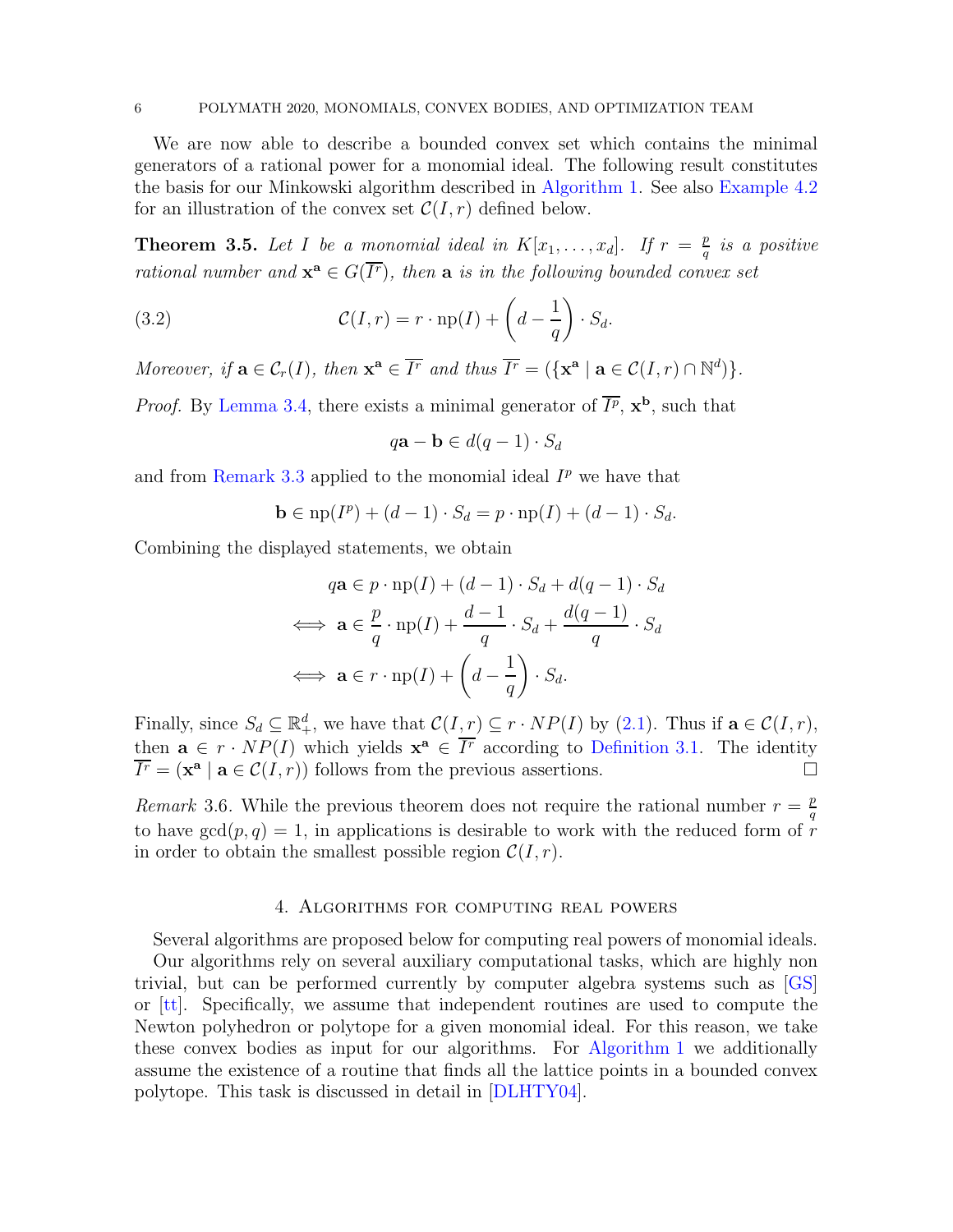#### 6 POLYMATH 2020, MONOMIALS, CONVEX BODIES, AND OPTIMIZATION TEAM

We are now able to describe a bounded convex set which contains the minimal generators of a rational power for a monomial ideal. The following result constitutes the basis for our Minkowski algorithm described in [Algorithm 1.](#page-6-0) See also [Example 4.2](#page-6-1) for an illustration of the convex set  $\mathcal{C}(I,r)$  defined below.

<span id="page-5-0"></span>**Theorem 3.5.** Let I be a monomial ideal in  $K[x_1, \ldots, x_d]$ . If  $r = \frac{p}{q}$  $\frac{p}{q}$  is a positive rational number and  $\mathbf{x}^{\mathbf{a}} \in G(\overline{I^r})$ , then  $\mathbf{a}$  is in the following bounded convex set

(3.2) 
$$
\mathcal{C}(I,r) = r \cdot \text{np}(I) + \left(d - \frac{1}{q}\right) \cdot S_d.
$$

Moreover, if  $\mathbf{a} \in \mathcal{C}_r(I)$ , then  $\mathbf{x}^{\mathbf{a}} \in \overline{I^r}$  and thus  $\overline{I^r} = (\{\mathbf{x}^{\mathbf{a}} \mid \mathbf{a} \in \mathcal{C}(I,r) \cap \mathbb{N}^d)\}.$ 

*Proof.* By [Lemma 3.4,](#page-4-0) there exists a minimal generator of  $\overline{I^p}$ ,  $\mathbf{x}^{\mathbf{b}}$ , such that

<span id="page-5-2"></span>
$$
q\mathbf{a} - \mathbf{b} \in d(q-1) \cdot S_d
$$

and from [Remark 3.3](#page-4-1) applied to the monomial ideal  $I^p$  we have that

$$
\mathbf{b} \in \text{np}(I^p) + (d - 1) \cdot S_d = p \cdot \text{np}(I) + (d - 1) \cdot S_d.
$$

Combining the displayed statements, we obtain

$$
q\mathbf{a} \in p \cdot \operatorname{np}(I) + (d - 1) \cdot S_d + d(q - 1) \cdot S_d
$$
  

$$
\iff \mathbf{a} \in \frac{p}{q} \cdot \operatorname{np}(I) + \frac{d - 1}{q} \cdot S_d + \frac{d(q - 1)}{q} \cdot S_d
$$
  

$$
\iff \mathbf{a} \in r \cdot \operatorname{np}(I) + \left(d - \frac{1}{q}\right) \cdot S_d.
$$

Finally, since  $S_d \subseteq \mathbb{R}_+^d$ , we have that  $\mathcal{C}(I,r) \subseteq r \cdot NP(I)$  by  $(2.1)$ . Thus if  $\mathbf{a} \in \mathcal{C}(I,r)$ , then  $\mathbf{a} \in r \cdot NP(I)$  which yields  $\mathbf{x}^{\mathbf{a}} \in \overline{I^r}$  according to [Definition 3.1.](#page-3-0) The identity  $\overline{I}^r = (\mathbf{x}^{\mathbf{a}} \mid \mathbf{a} \in \mathcal{C}(I,r))$  follows from the previous assertions.

Remark 3.6. While the previous theorem does not require the rational number  $r = \frac{p}{q}$ q to have  $gcd(p, q) = 1$ , in applications is desirable to work with the reduced form of r in order to obtain the smallest possible region  $C(I, r)$ .

#### 4. Algorithms for computing real powers

<span id="page-5-1"></span>Several algorithms are proposed below for computing real powers of monomial ideals. Our algorithms rely on several auxiliary computational tasks, which are highly non trivial, but can be performed currently by computer algebra systems such as [\[GS\]](#page-20-7) or [\[tt\]](#page-20-8). Specifically, we assume that independent routines are used to compute the Newton polyhedron or polytope for a given monomial ideal. For this reason, we take these convex bodies as input for our algorithms. For [Algorithm 1](#page-6-0) we additionally assume the existence of a routine that finds all the lattice points in a bounded convex polytope. This task is discussed in detail in [\[DLHTY04\]](#page-20-9).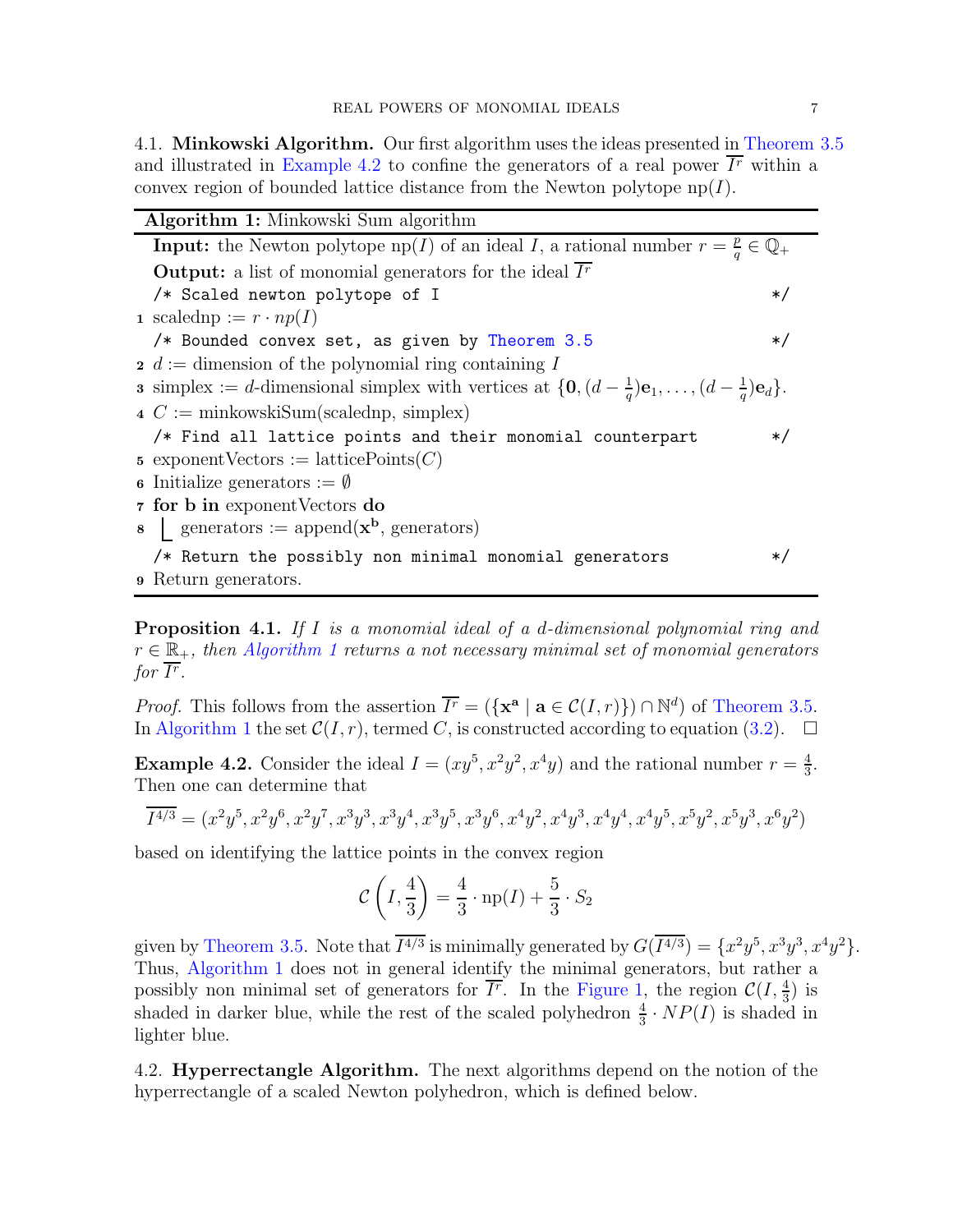4.1. Minkowski Algorithm. Our first algorithm uses the ideas presented in [Theorem 3.5](#page-5-0) and illustrated in [Example 4.2](#page-6-1) to confine the generators of a real power  $\overline{I^r}$  within a convex region of bounded lattice distance from the Newton polytope  $\text{np}(I)$ .

<span id="page-6-0"></span>

| Algorithm 1: Minkowski Sum algorithm |                                                                                                                                                   |         |  |  |
|--------------------------------------|---------------------------------------------------------------------------------------------------------------------------------------------------|---------|--|--|
|                                      | <b>Input:</b> the Newton polytope $\text{np}(I)$ of an ideal I, a rational number $r = \frac{p}{q} \in \mathbb{Q}_+$                              |         |  |  |
|                                      | <b>Output:</b> a list of monomial generators for the ideal $Ir$                                                                                   |         |  |  |
|                                      | /* Scaled newton polytope of I                                                                                                                    | $\ast/$ |  |  |
|                                      | 1 scaledn $p := r \cdot np(I)$                                                                                                                    |         |  |  |
|                                      | /* Bounded convex set, as given by Theorem 3.5                                                                                                    | $\ast/$ |  |  |
|                                      | $\alpha$ is a dimension of the polynomial ring containing I                                                                                       |         |  |  |
|                                      | <b>3</b> simplex := d-dimensional simplex with vertices at $\{\mathbf{0}, (d - \frac{1}{a})\mathbf{e}_1, \dots, (d - \frac{1}{a})\mathbf{e}_d\}.$ |         |  |  |
|                                      | $\Delta C := \text{minkowskiSum}(\text{scalednp}, \text{simplex})$                                                                                |         |  |  |
|                                      | /* Find all lattice points and their monomial counterpart                                                                                         | $\ast/$ |  |  |
|                                      | 5 exponent Vectors := lattice Points $(C)$                                                                                                        |         |  |  |
|                                      | <b>6</b> Initialize generators $:= \emptyset$                                                                                                     |         |  |  |
|                                      | 7 for b in exponent Vectors do                                                                                                                    |         |  |  |
|                                      | $\bullet$   generators := append( $\mathbf{x}^{\mathbf{b}}$ , generators)                                                                         |         |  |  |
|                                      | /* Return the possibly non minimal monomial generators                                                                                            | $\ast$  |  |  |
|                                      | <b>9</b> Return generators.                                                                                                                       |         |  |  |

<span id="page-6-2"></span>Proposition 4.1. If I is a monomial ideal of a d-dimensional polynomial ring and  $r \in \mathbb{R}_+$ , then [Algorithm 1](#page-6-0) returns a not necessary minimal set of monomial generators for  $\overline{I^r}.$ 

*Proof.* This follows from the assertion  $\overline{I}^r = (\{ \mathbf{x}^{\mathbf{a}} \mid \mathbf{a} \in C(I,r) \}) \cap \mathbb{N}^d$  of [Theorem 3.5.](#page-5-0) In [Algorithm 1](#page-6-0) the set  $\mathcal{C}(I,r)$ , termed C, is constructed according to equation [\(3.2\)](#page-5-2).  $\Box$ 

<span id="page-6-1"></span>**Example 4.2.** Consider the ideal  $I = (xy^5, x^2y^2, x^4y)$  and the rational number  $r = \frac{4}{3}$  $\frac{4}{3}$ . Then one can determine that

$$
\overline{I^{4/3}} = (x^2y^5, x^2y^6, x^2y^7, x^3y^3, x^3y^4, x^3y^5, x^3y^6, x^4y^2, x^4y^3, x^4y^4, x^4y^5, x^5y^2, x^5y^3, x^6y^2)
$$

based on identifying the lattice points in the convex region

$$
C\left(I,\frac{4}{3}\right) = \frac{4}{3}\cdot np(I) + \frac{5}{3}\cdot S_2
$$

given by [Theorem 3.5.](#page-5-0) Note that  $I^{4/3}$  is minimally generated by  $G(I^{4/3}) = \{x^2y^5, x^3y^3, x^4y^2\}.$ Thus, [Algorithm 1](#page-6-0) does not in general identify the minimal generators, but rather a possibly non minimal set of generators for  $\overline{I^r}$ . In the [Figure 1,](#page-7-0) the region  $\mathcal{C}(I, \frac{4}{3})$  is shaded in darker blue, while the rest of the scaled polyhedron  $\frac{4}{3} \cdot NP(I)$  is shaded in lighter blue.

4.2. Hyperrectangle Algorithm. The next algorithms depend on the notion of the hyperrectangle of a scaled Newton polyhedron, which is defined below.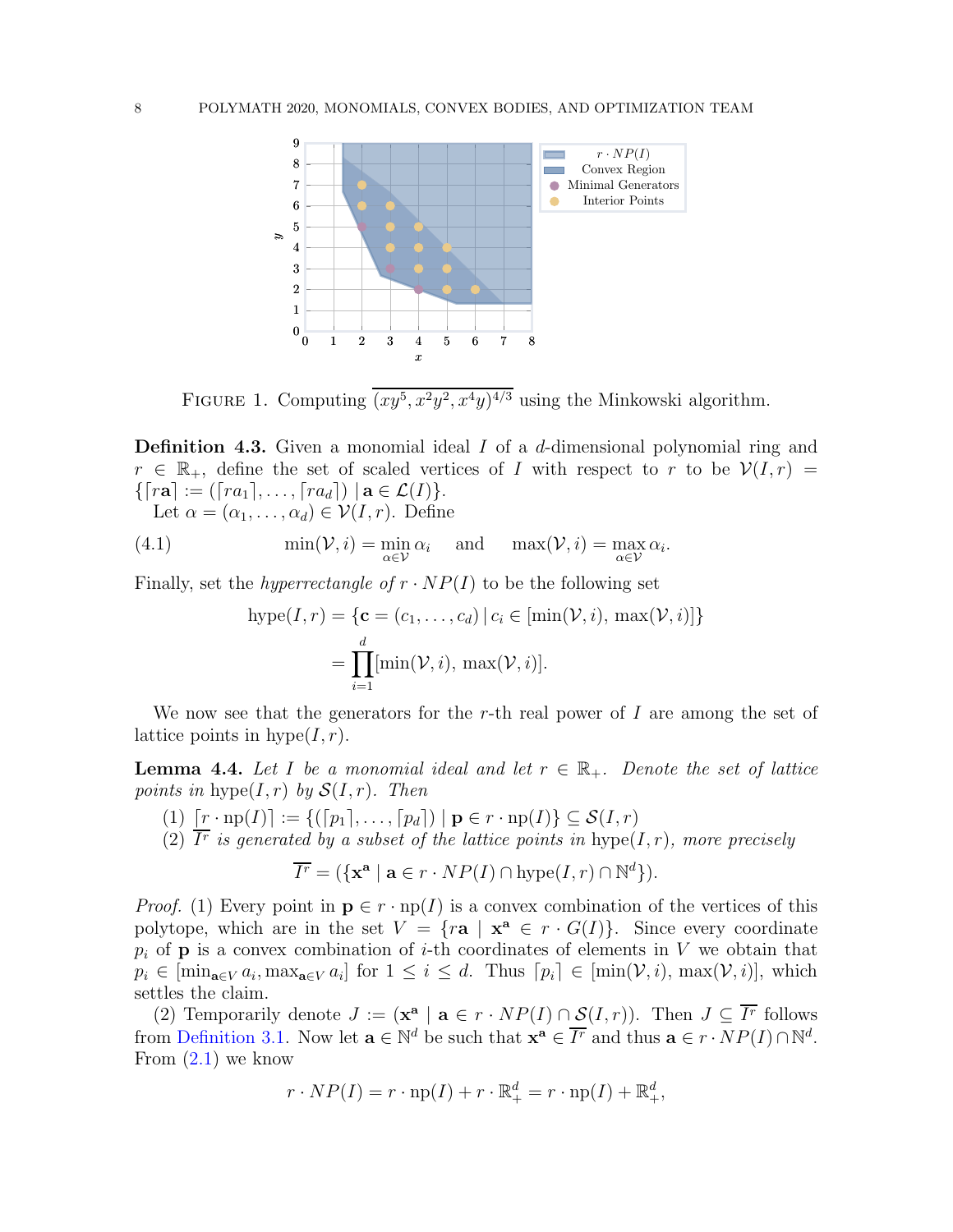

<span id="page-7-0"></span>FIGURE 1. Computing  $(xy^5, x^2y^2, x^4y)^{4/3}$  using the Minkowski algorithm.

**Definition 4.3.** Given a monomial ideal I of a d-dimensional polynomial ring and  $r \in \mathbb{R}_+$ , define the set of scaled vertices of I with respect to r to be  $\mathcal{V}(I,r) =$  $\{[ra] := ([ra_1], \ldots, [ra_d]) \mid a \in \mathcal{L}(I)\}.$ 

Let  $\alpha = (\alpha_1, \ldots, \alpha_d) \in \mathcal{V}(I, r)$ . Define

(4.1) 
$$
\min(\mathcal{V}, i) = \min_{\alpha \in \mathcal{V}} \alpha_i \quad \text{and} \quad \max(\mathcal{V}, i) = \max_{\alpha \in \mathcal{V}} \alpha_i.
$$

Finally, set the *hyperrectangle of*  $r \cdot NP(I)$  to be the following set

<span id="page-7-2"></span>
$$
\text{hyper}(I, r) = \{ \mathbf{c} = (c_1, \dots, c_d) \mid c_i \in [\min(\mathcal{V}, i), \max(\mathcal{V}, i)] \}
$$

$$
= \prod_{i=1}^d [\min(\mathcal{V}, i), \max(\mathcal{V}, i)].
$$

<span id="page-7-1"></span>We now see that the generators for the r-th real power of  $I$  are among the set of lattice points in  $hype(I, r)$ .

**Lemma 4.4.** Let I be a monomial ideal and let  $r \in \mathbb{R}_+$ . Denote the set of lattice points in hype $(I, r)$  by  $\mathcal{S}(I, r)$ . Then

- (1)  $[r \cdot np(I)] := \{([p_1], \ldots, [p_d]) \mid p \in r \cdot np(I)\} \subseteq \mathcal{S}(I, r)$
- (2) Ir is generated by a subset of the lattice points in  $hype(I,r)$ , more precisely

$$
\overline{I^r} = (\{ \mathbf{x}^{\mathbf{a}} \mid \mathbf{a} \in r \cdot NP(I) \cap \text{hyper}(I, r) \cap \mathbb{N}^d \}).
$$

*Proof.* (1) Every point in  $p \in r \cdot np(I)$  is a convex combination of the vertices of this polytope, which are in the set  $V = \{ra \mid x^a \in r \cdot G(I)\}.$  Since every coordinate  $p_i$  of **p** is a convex combination of *i*-th coordinates of elements in V we obtain that  $p_i \in [\min_{\mathbf{a} \in V} a_i, \max_{\mathbf{a} \in V} a_i]$  for  $1 \leq i \leq d$ . Thus  $[p_i] \in [\min(\mathcal{V}, i), \max(\mathcal{V}, i)]$ , which settles the claim.

(2) Temporarily denote  $J := (\mathbf{x}^{\mathbf{a}} \mid \mathbf{a} \in r \cdot NP(I) \cap S(I,r))$ . Then  $J \subseteq \overline{I^r}$  follows from [Definition 3.1.](#page-3-0) Now let  $\mathbf{a} \in \mathbb{N}^d$  be such that  $\mathbf{x}^{\mathbf{a}} \in \overline{I^r}$  and thus  $\mathbf{a} \in r \cdot NP(I) \cap \mathbb{N}^d$ . From  $(2.1)$  we know

$$
r \cdot NP(I) = r \cdot np(I) + r \cdot \mathbb{R}^d_+ = r \cdot np(I) + \mathbb{R}^d_+,
$$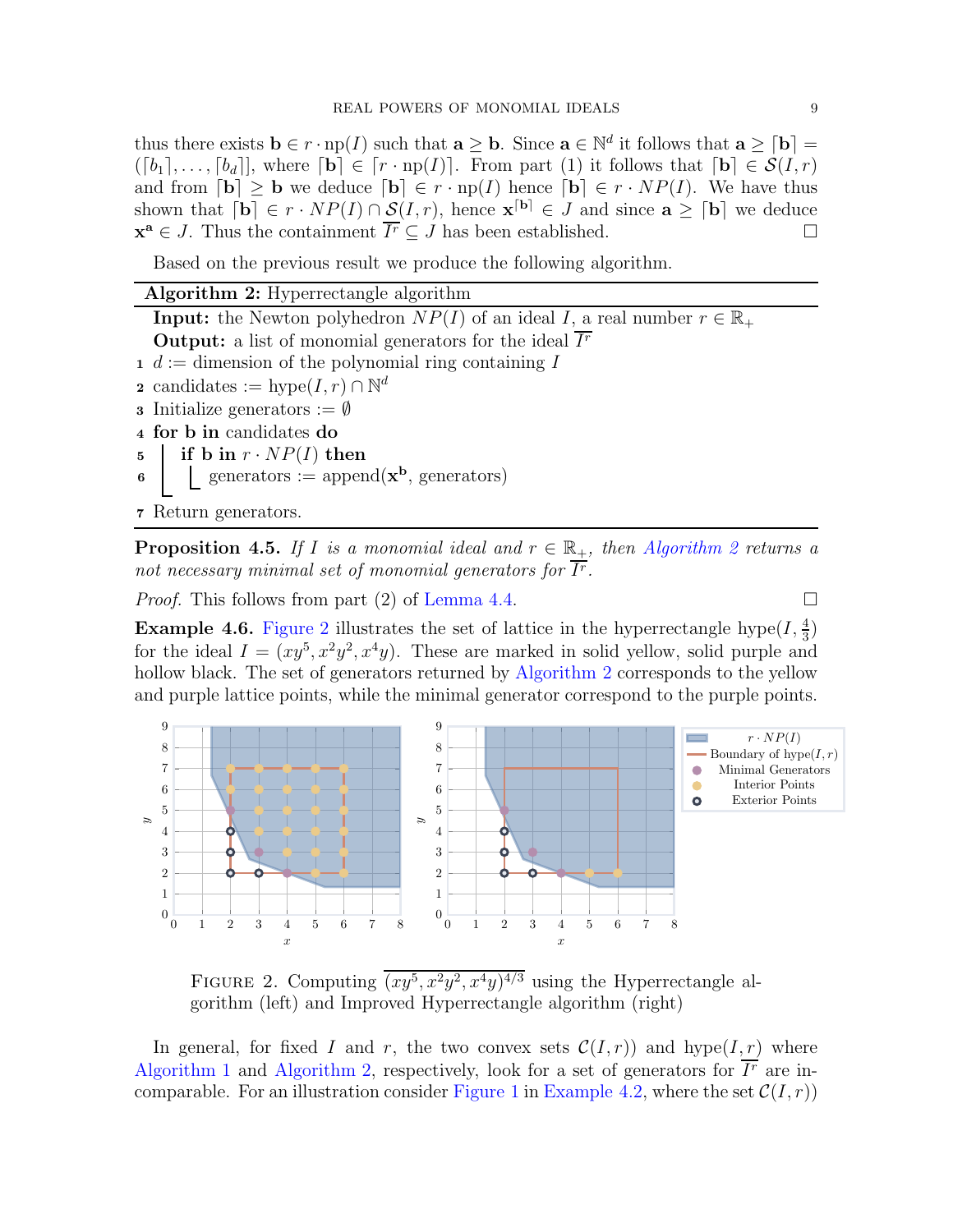thus there exists  $\mathbf{b} \in r \cdot np(I)$  such that  $\mathbf{a} \geq \mathbf{b}$ . Since  $\mathbf{a} \in \mathbb{N}^d$  it follows that  $\mathbf{a} \geq \lceil \mathbf{b} \rceil =$  $([b_1], \ldots, [b_d]]$ , where  $[\mathbf{b}] \in [r \cdot np(I)]$ . From part (1) it follows that  $[\mathbf{b}] \in \mathcal{S}(I, r)$ and from  $[\mathbf{b}] \geq \mathbf{b}$  we deduce  $[\mathbf{b}] \in r \cdot np(I)$  hence  $[\mathbf{b}] \in r \cdot NP(I)$ . We have thus shown that  $[\mathbf{b}] \in r \cdot NP(I) \cap \mathcal{S}(I,r)$ , hence  $\mathbf{x}^{[\mathbf{b}]} \in J$  and since  $\mathbf{a} \geq [\mathbf{b}]$  we deduce  $\mathbf{x}^{\mathbf{a}} \in J$ . Thus the containment  $\overline{I^r} \subseteq J$  has been established.

<span id="page-8-0"></span>Based on the previous result we produce the following algorithm.

| <b>Algorithm 2:</b> Hyperrectangle algorithm |                                                                                                   |  |  |  |  |
|----------------------------------------------|---------------------------------------------------------------------------------------------------|--|--|--|--|
|                                              | <b>Input:</b> the Newton polyhedron $NP(I)$ of an ideal I, a real number $r \in \mathbb{R}_+$     |  |  |  |  |
|                                              | <b>Output:</b> a list of monomial generators for the ideal $Ir$                                   |  |  |  |  |
|                                              | $1 d :=$ dimension of the polynomial ring containing I                                            |  |  |  |  |
|                                              | <b>2</b> candidates := hype $(I, r) \cap \mathbb{N}^d$                                            |  |  |  |  |
|                                              | <b>3</b> Initialize generators $:= \emptyset$                                                     |  |  |  |  |
|                                              | 4 for b in candidates do                                                                          |  |  |  |  |
|                                              |                                                                                                   |  |  |  |  |
|                                              | 5 if b in $r \cdot NP(I)$ then<br>6 equencions := append( $\mathbf{x}^{\mathbf{b}}$ , generators) |  |  |  |  |
|                                              | 7 Return generators.                                                                              |  |  |  |  |

**Proposition 4.5.** If I is a monomial ideal and  $r \in \mathbb{R}_+$ , then [Algorithm 2](#page-8-0) returns a not necessary minimal set of monomial generators for  $\overline{I^r}$ .

*Proof.* This follows from part (2) of [Lemma 4.4.](#page-7-1)

**Example 4.6.** [Figure 2](#page-8-1) illustrates the set of lattice in the hyperrectangle hype $(I, \frac{4}{3})$ for the ideal  $I = (xy^5, x^2y^2, x^4y)$ . These are marked in solid yellow, solid purple and hollow black. The set of generators returned by [Algorithm 2](#page-8-0) corresponds to the yellow and purple lattice points, while the minimal generator correspond to the purple points.



<span id="page-8-1"></span>FIGURE 2. Computing  $(xy^5, x^2y^2, x^4y)^{4/3}$  using the Hyperrectangle algorithm (left) and Improved Hyperrectangle algorithm (right)

In general, for fixed I and r, the two convex sets  $C(I, r)$  and hype(I, r) where [Algorithm 1](#page-6-0) and [Algorithm 2,](#page-8-0) respectively, look for a set of generators for  $I<sup>r</sup>$  are in-comparable. For an illustration consider [Figure 1](#page-7-0) in [Example 4.2,](#page-6-1) where the set  $\mathcal{C}(I,r)$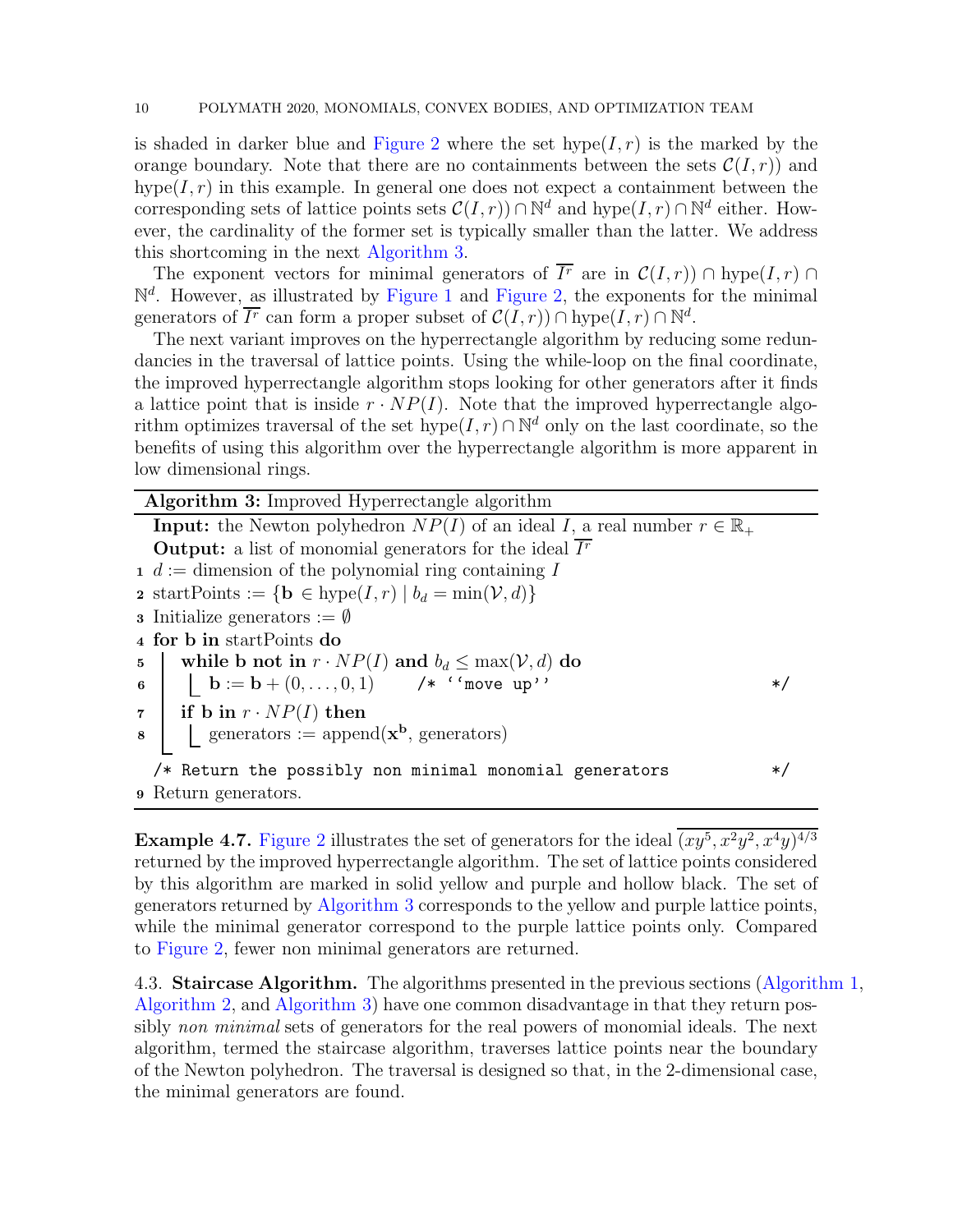is shaded in darker blue and [Figure 2](#page-8-1) where the set  $hype(I, r)$  is the marked by the orange boundary. Note that there are no containments between the sets  $\mathcal{C}(I,r)$  and hype( $I, r$ ) in this example. In general one does not expect a containment between the corresponding sets of lattice points sets  $\mathcal{C}(I,r) \cap \mathbb{N}^d$  and  $\text{hype}(I,r) \cap \mathbb{N}^d$  either. However, the cardinality of the former set is typically smaller than the latter. We address this shortcoming in the next [Algorithm 3.](#page-9-0)

The exponent vectors for minimal generators of  $I^r$  are in  $\mathcal{C}(I,r) \cap \text{hyper}(I,r) \cap$  $\mathbb{N}^d$ . However, as illustrated by [Figure 1](#page-7-0) and [Figure 2,](#page-8-1) the exponents for the minimal generators of  $\overline{I^r}$  can form a proper subset of  $\mathcal{C}(I,r) \cap \text{hyper}(I,r) \cap \mathbb{N}^d$ .

The next variant improves on the hyperrectangle algorithm by reducing some redundancies in the traversal of lattice points. Using the while-loop on the final coordinate, the improved hyperrectangle algorithm stops looking for other generators after it finds a lattice point that is inside  $r \cdot NP(I)$ . Note that the improved hyperrectangle algorithm optimizes traversal of the set hype $(I, r) \cap \mathbb{N}^d$  only on the last coordinate, so the benefits of using this algorithm over the hyperrectangle algorithm is more apparent in low dimensional rings.

<span id="page-9-0"></span>

| <b>Algorithm 3:</b> Improved Hyperrectangle algorithm                                         |  |  |  |  |
|-----------------------------------------------------------------------------------------------|--|--|--|--|
| <b>Input:</b> the Newton polyhedron $NP(I)$ of an ideal I, a real number $r \in \mathbb{R}_+$ |  |  |  |  |
| <b>Output:</b> a list of monomial generators for the ideal $Ir$                               |  |  |  |  |
| $1 d :=$ dimension of the polynomial ring containing I                                        |  |  |  |  |
| 2 startPoints := { $\mathbf{b} \in \text{hype}(I,r)   b_d = \min(\mathcal{V}, d)$ }           |  |  |  |  |
| <b>3</b> Initialize generators := $\emptyset$                                                 |  |  |  |  |
| 4 for b in start Points do                                                                    |  |  |  |  |
| while b not in $r \cdot NP(I)$ and $b_d \le \max(V, d)$ do<br>$5\quad$                        |  |  |  |  |
| 6   $\mathbf{b} := \mathbf{b} + (0, \ldots, 0, 1)$ /* ''move up''                             |  |  |  |  |
| $\tau$ if b in $r \cdot NP(I)$ then                                                           |  |  |  |  |
| $\bullet$     generators := append( $\mathbf{x}^{\mathbf{b}}$ , generators)                   |  |  |  |  |
| $/*$ Return the possibly non minimal monomial generators                                      |  |  |  |  |
| <b>9</b> Return generators.                                                                   |  |  |  |  |

**Example 4.7.** [Figure 2](#page-8-1) illustrates the set of generators for the ideal  $(xy^5, x^2y^2, x^4y)^{4/3}$ returned by the improved hyperrectangle algorithm. The set of lattice points considered by this algorithm are marked in solid yellow and purple and hollow black. The set of generators returned by [Algorithm 3](#page-9-0) corresponds to the yellow and purple lattice points, while the minimal generator correspond to the purple lattice points only. Compared to [Figure 2,](#page-8-1) fewer non minimal generators are returned.

4.3. Staircase Algorithm. The algorithms presented in the previous sections [\(Algorithm 1,](#page-6-0) [Algorithm 2,](#page-8-0) and [Algorithm 3\)](#page-9-0) have one common disadvantage in that they return possibly non minimal sets of generators for the real powers of monomial ideals. The next algorithm, termed the staircase algorithm, traverses lattice points near the boundary of the Newton polyhedron. The traversal is designed so that, in the 2-dimensional case, the minimal generators are found.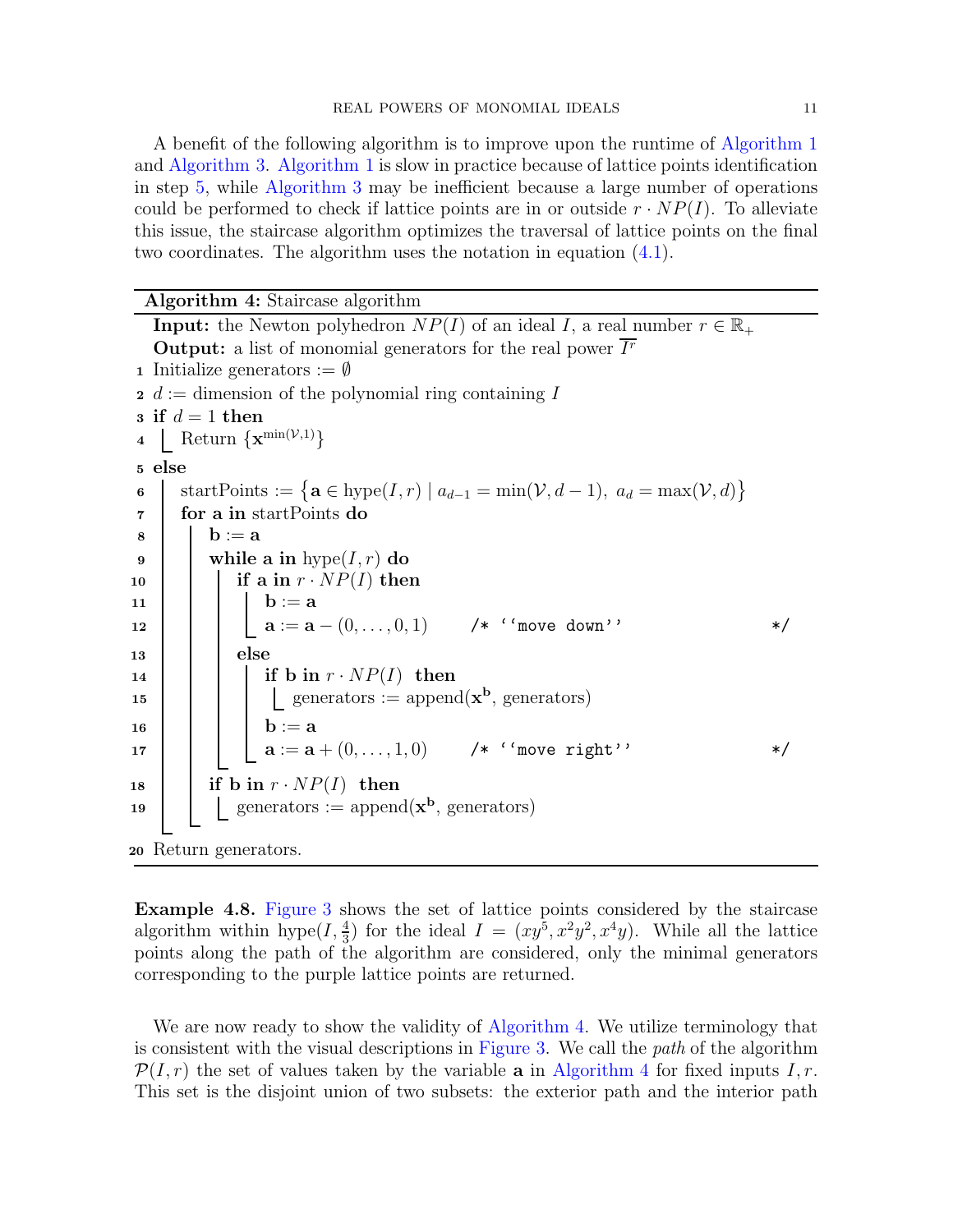A benefit of the following algorithm is to improve upon the runtime of [Algorithm 1](#page-6-0) and [Algorithm 3.](#page-9-0) [Algorithm 1](#page-6-0) is slow in practice because of lattice points identification in step [5,](#page-6-2) while [Algorithm 3](#page-9-0) may be inefficient because a large number of operations could be performed to check if lattice points are in or outside  $r \cdot NP(I)$ . To alleviate this issue, the staircase algorithm optimizes the traversal of lattice points on the final two coordinates. The algorithm uses the notation in equation [\(4.1\)](#page-7-2).

<span id="page-10-0"></span>Algorithm 4: Staircase algorithm

|                | <b>Input:</b> the Newton polyhedron $NP(I)$ of an ideal I, a real number $r \in \mathbb{R}_+$                                                                         |  |  |  |  |
|----------------|-----------------------------------------------------------------------------------------------------------------------------------------------------------------------|--|--|--|--|
|                | <b>Output:</b> a list of monomial generators for the real power $Ir$                                                                                                  |  |  |  |  |
|                | <b>1</b> Initialize generators $:= \emptyset$                                                                                                                         |  |  |  |  |
|                | $\mathbf{a} \cdot \mathbf{b} = \mathbf{d}$ dimension of the polynomial ring containing I                                                                              |  |  |  |  |
|                | a if $d=1$ then                                                                                                                                                       |  |  |  |  |
|                | 4 Return $\{ \mathbf{x}^{\min(\mathcal{V},1)} \}$                                                                                                                     |  |  |  |  |
|                | 5 else                                                                                                                                                                |  |  |  |  |
| 6              | startPoints := { $\mathbf{a} \in \text{hype}(I, r) \mid a_{d-1} = \min(\mathcal{V}, d-1), a_d = \max(\mathcal{V}, d)$ }                                               |  |  |  |  |
| $\overline{7}$ | for a in start Points do                                                                                                                                              |  |  |  |  |
| 8              | $\mathbf{b} := \mathbf{a}$                                                                                                                                            |  |  |  |  |
| 9              | while a in $hype(I, r)$ do                                                                                                                                            |  |  |  |  |
| 10             | if a in $r \cdot NP(I)$ then                                                                                                                                          |  |  |  |  |
| 11             |                                                                                                                                                                       |  |  |  |  |
| 12             | $\begin{array}{ c c c } \hline \textbf{b} := \textbf{a} & \\ \textbf{a} := \textbf{a} - (0, \dots, 0, 1) & \textit{/* ``move down''} \\\hline \end{array}$<br>$\ast/$ |  |  |  |  |
| 13             | else                                                                                                                                                                  |  |  |  |  |
| 14             | if b in $r \cdot NP(I)$ then                                                                                                                                          |  |  |  |  |
| 15             | generators := append( $\mathbf{x}^{\mathbf{b}}$ , generators)                                                                                                         |  |  |  |  |
| 16             |                                                                                                                                                                       |  |  |  |  |
| 17             | <b>b</b> := <b>a</b><br><b>a</b> := <b>a</b> + $(0, , 1, 0)$ /* ''move right''<br>*/                                                                                  |  |  |  |  |
| 18             | if b in $r \cdot NP(I)$ then                                                                                                                                          |  |  |  |  |
| 19             | $\label{eq:generators} \text{generators} := \text{append}(\mathbf{x}^\mathbf{b}, \, \text{generators})$                                                               |  |  |  |  |
|                |                                                                                                                                                                       |  |  |  |  |
|                | 20 Return generators.                                                                                                                                                 |  |  |  |  |

<span id="page-10-1"></span>Example 4.8. [Figure 3](#page-11-0) shows the set of lattice points considered by the staircase algorithm within hype $(I, \frac{4}{3})$  for the ideal  $I = (xy^5, x^2y^2, x^4y)$ . While all the lattice points along the path of the algorithm are considered, only the minimal generators corresponding to the purple lattice points are returned.

We are now ready to show the validity of [Algorithm 4.](#page-10-0) We utilize terminology that is consistent with the visual descriptions in [Figure 3.](#page-11-0) We call the path of the algorithm  $\mathcal{P}(I,r)$  the set of values taken by the variable **a** in [Algorithm 4](#page-10-0) for fixed inputs I, r. This set is the disjoint union of two subsets: the exterior path and the interior path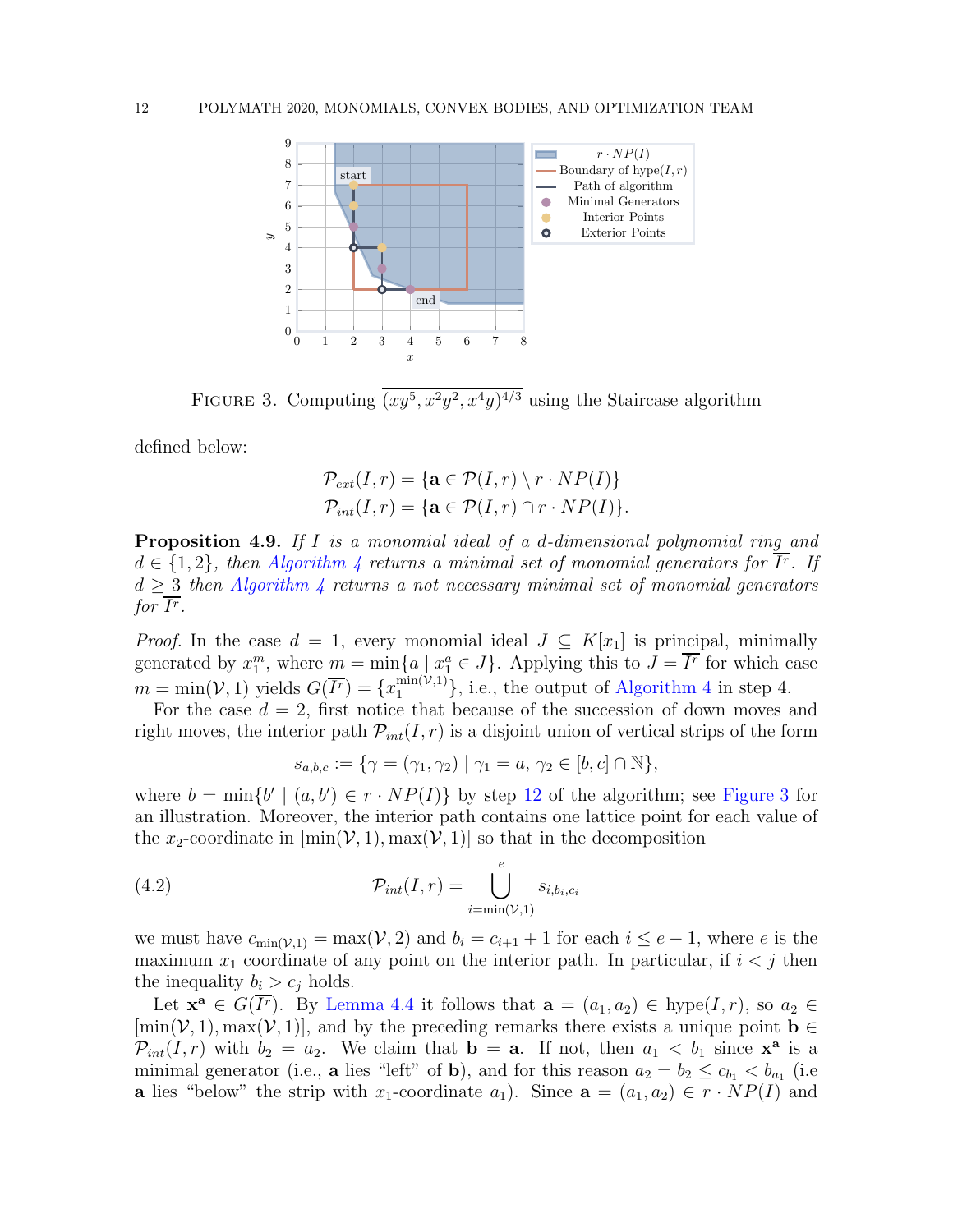

FIGURE 3. Computing  $(xy^5, x^2y^2, x^4y)^{4/3}$  using the Staircase algorithm

defined below:

<span id="page-11-0"></span>
$$
\mathcal{P}_{ext}(I,r) = \{ \mathbf{a} \in \mathcal{P}(I,r) \setminus r \cdot NP(I) \}
$$

$$
\mathcal{P}_{int}(I,r) = \{ \mathbf{a} \in \mathcal{P}(I,r) \cap r \cdot NP(I) \}.
$$

<span id="page-11-2"></span>Proposition 4.9. If I is a monomial ideal of a d-dimensional polynomial ring and  $d \in \{1,2\}$ , then [Algorithm 4](#page-10-0) returns a minimal set of monomial generators for  $I^r$ . If  $d \geq 3$  then [Algorithm 4](#page-10-0) returns a not necessary minimal set of monomial generators for  $\overline{I^r}.$ 

*Proof.* In the case  $d = 1$ , every monomial ideal  $J \subseteq K[x_1]$  is principal, minimally generated by  $x_1^m$ , where  $m = \min\{a \mid x_1^a \in J\}$ . Applying this to  $J = \overline{I^r}$  for which case  $m = \min(V, 1)$  yields  $G(\overline{I^r}) = \{x_1^{\min(V,1)}\}\$ , i.e., the output of [Algorithm 4](#page-10-0) in step 4.

For the case  $d = 2$ , first notice that because of the succession of down moves and right moves, the interior path  $\mathcal{P}_{int}(I,r)$  is a disjoint union of vertical strips of the form

<span id="page-11-1"></span>
$$
s_{a,b,c} := \{ \gamma = (\gamma_1, \gamma_2) \mid \gamma_1 = a, \ \gamma_2 \in [b, c] \cap \mathbb{N} \},\
$$

where  $b = \min\{b' \mid (a, b') \in r \cdot NP(I)\}\$  by step [12](#page-10-1) of the algorithm; see [Figure 3](#page-11-0) for an illustration. Moreover, the interior path contains one lattice point for each value of the x<sub>2</sub>-coordinate in  $[\min(V, 1), \max(V, 1)]$  so that in the decomposition

(4.2) 
$$
\mathcal{P}_{int}(I,r) = \bigcup_{i=\min(\mathcal{V},1)}^{e} s_{i,b_i,c_i}
$$

we must have  $c_{\min(\mathcal{V},1)} = \max(\mathcal{V},2)$  and  $b_i = c_{i+1} + 1$  for each  $i \leq e-1$ , where e is the maximum  $x_1$  coordinate of any point on the interior path. In particular, if  $i < j$  then the inequality  $b_i > c_j$  holds.

Let  $\mathbf{x}^{\mathbf{a}} \in G(\overline{I^r})$ . By [Lemma 4.4](#page-7-1) it follows that  $\mathbf{a} = (a_1, a_2) \in \text{hype}(I, r)$ , so  $a_2 \in$  $[\min(\mathcal{V}, 1), \max(\mathcal{V}, 1)]$ , and by the preceding remarks there exists a unique point  $\mathbf{b} \in \mathbb{C}$  $\mathcal{P}_{int}(I,r)$  with  $b_2 = a_2$ . We claim that  $\mathbf{b} = \mathbf{a}$ . If not, then  $a_1 < b_1$  since  $\mathbf{x}^{\mathbf{a}}$  is a minimal generator (i.e., **a** lies "left" of **b**), and for this reason  $a_2 = b_2 \le c_{b_1} < b_{a_1}$  (i.e **a** lies "below" the strip with x<sub>1</sub>-coordinate  $a_1$ ). Since  $\mathbf{a} = (a_1, a_2) \in r \cdot NP(I)$  and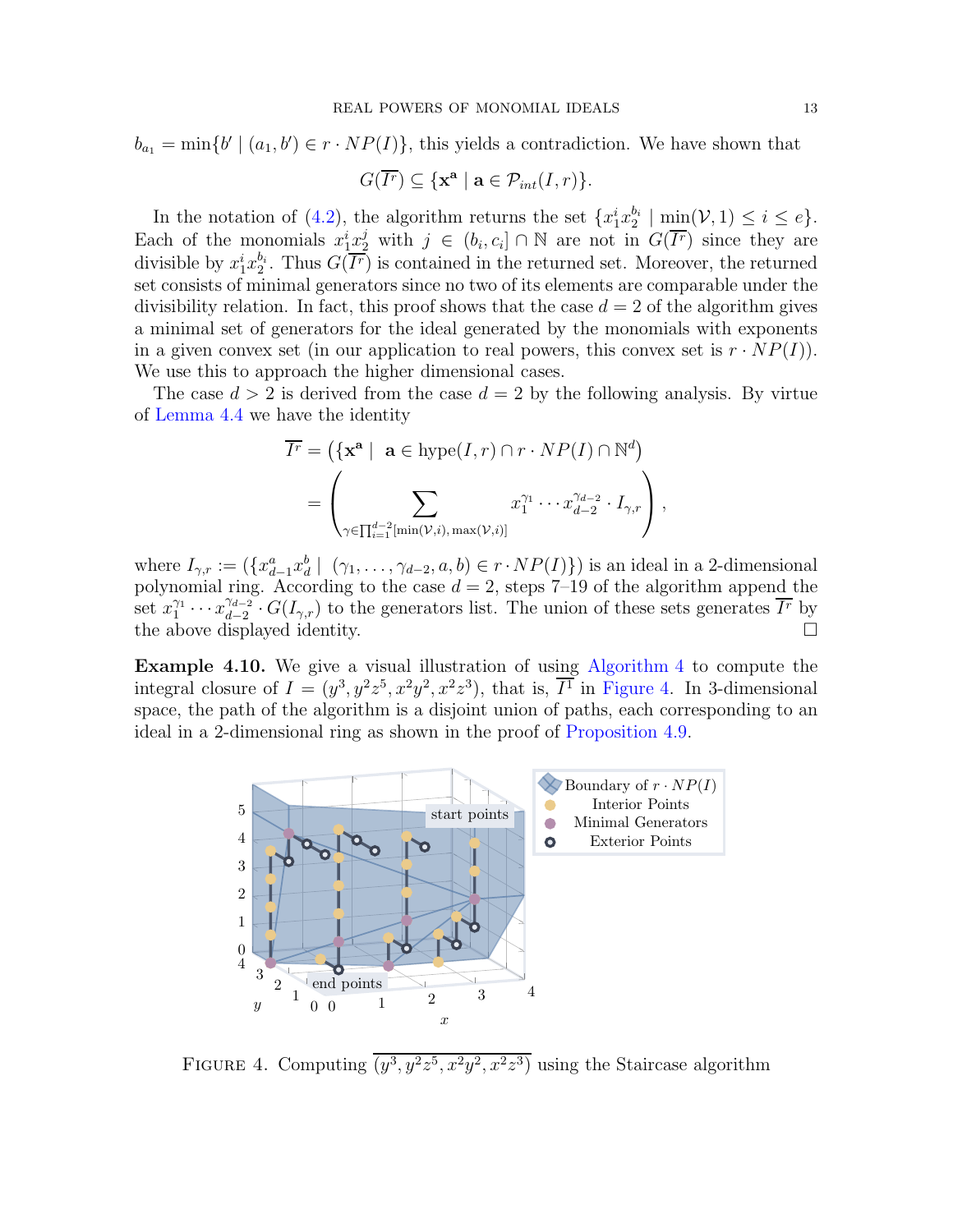$$
b_{a_1} = \min\{b' \mid (a_1, b') \in r \cdot NP(I)\}\
$$
, this yields a contradiction. We have shown that

$$
G(\overline{I^r}) \subseteq \{ \mathbf{x}^{\mathbf{a}} \mid \mathbf{a} \in \mathcal{P}_{int}(I,r) \}.
$$

In the notation of [\(4.2\)](#page-11-1), the algorithm returns the set  $\{x_1^i x_2^{b_i}\}$  $2^{b_i}$  | min $(\mathcal{V}, 1) \leq i \leq e$  }. Each of the monomials  $x_1^i x_2^j$  with  $j \in (b_i, c_i] \cap \mathbb{N}$  are not in  $G(\overline{I^r})$  since they are divisible by  $x_1^i x_2^{b_i}$  $^{b_i}_{2}$ . Thus  $G(\overline{I^r})$  is contained in the returned set. Moreover, the returned set consists of minimal generators since no two of its elements are comparable under the divisibility relation. In fact, this proof shows that the case  $d = 2$  of the algorithm gives a minimal set of generators for the ideal generated by the monomials with exponents in a given convex set (in our application to real powers, this convex set is  $r \cdot NP(I)$ ). We use this to approach the higher dimensional cases.

The case  $d > 2$  is derived from the case  $d = 2$  by the following analysis. By virtue of [Lemma 4.4](#page-7-1) we have the identity

$$
\overline{I^r} = (\{\mathbf{x}^{\mathbf{a}} \mid \mathbf{a} \in \text{hype}(I, r) \cap r \cdot NP(I) \cap \mathbb{N}^d) \n= \left( \sum_{\gamma \in \prod_{i=1}^{d-2} [\min(\mathcal{V}, i), \max(\mathcal{V}, i)]} x_1^{\gamma_1} \cdots x_{d-2}^{\gamma_{d-2}} \cdot I_{\gamma, r} \right),
$$

where  $I_{\gamma,r} := (\{x_{d-1}^a x_d^b \mid (\gamma_1,\ldots,\gamma_{d-2},a,b) \in r \cdot NP(I)\})$  is an ideal in a 2-dimensional polynomial ring. According to the case  $d = 2$ , steps 7-19 of the algorithm append the set  $x_1^{\gamma_1}$  $x_1^{\gamma_1}\cdots x_{d-2}^{\gamma_{d-2}}$  $\frac{\gamma_{d-2}}{d-2} \cdot G(I_{\gamma,r})$  to the generators list. The union of these sets generates  $\overline{I^r}$  by the above displayed identity.

Example 4.10. We give a visual illustration of using [Algorithm 4](#page-10-0) to compute the integral closure of  $I = (y^3, y^2z^5, x^2y^2, x^2z^3)$ , that is,  $\overline{I}^1$  in [Figure 4.](#page-12-0) In 3-dimensional space, the path of the algorithm is a disjoint union of paths, each corresponding to an ideal in a 2-dimensional ring as shown in the proof of [Proposition 4.9.](#page-11-2)



<span id="page-12-0"></span>FIGURE 4. Computing  $(y^3, y^2z^5, x^2y^2, x^2z^3)$  using the Staircase algorithm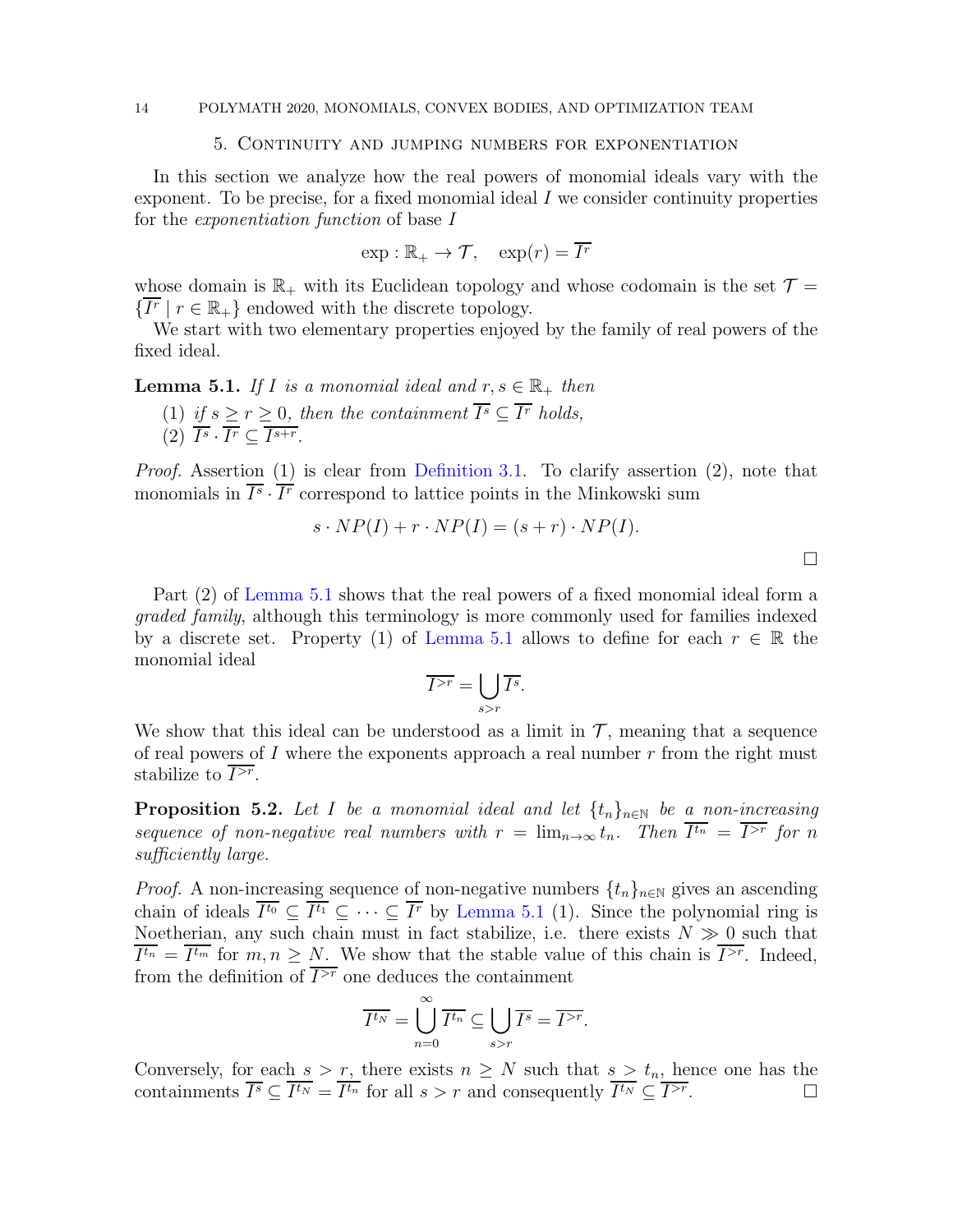### <span id="page-13-1"></span>14 POLYMATH 2020, MONOMIALS, CONVEX BODIES, AND OPTIMIZATION TEAM

# 5. Continuity and jumping numbers for exponentiation

In this section we analyze how the real powers of monomial ideals vary with the exponent. To be precise, for a fixed monomial ideal  $I$  we consider continuity properties for the exponentiation function of base I

$$
\exp : \mathbb{R}_+ \to \mathcal{T}, \quad \exp(r) = \overline{I^r}
$$

whose domain is  $\mathbb{R}_+$  with its Euclidean topology and whose codomain is the set  $\mathcal{T} =$  $\{\overline{I^r} \mid r \in \mathbb{R}_+\}$  endowed with the discrete topology.

<span id="page-13-2"></span>We start with two elementary properties enjoyed by the family of real powers of the fixed ideal.

**Lemma 5.1.** If I is a monomial ideal and  $r, s \in \mathbb{R}_+$  then

(1) if  $s \ge r \ge 0$ , then the containment  $\overline{I^s} \subseteq \overline{I^r}$  holds,  $(2)$   $I^s \cdot I^r \subseteq I^{s+r}$ .

Proof. Assertion (1) is clear from [Definition 3.1.](#page-3-0) To clarify assertion (2), note that monomials in  $I^s \cdot I^r$  correspond to lattice points in the Minkowski sum

$$
s \cdot NP(I) + r \cdot NP(I) = (s+r) \cdot NP(I).
$$

 $\Box$ 

Part (2) of [Lemma 5.1](#page-13-2) shows that the real powers of a fixed monomial ideal form a graded family, although this terminology is more commonly used for families indexed by a discrete set. Property (1) of [Lemma 5.1](#page-13-2) allows to define for each  $r \in \mathbb{R}$  the monomial ideal

$$
\overline{I^{>r}} = \bigcup_{s>r} \overline{I^s}.
$$

We show that this ideal can be understood as a limit in  $\mathcal{T}$ , meaning that a sequence of real powers of I where the exponents approach a real number  $r$  from the right must stabilize to  $I^{>r}$ .

<span id="page-13-0"></span>**Proposition 5.2.** Let I be a monomial ideal and let  $\{t_n\}_{n\in\mathbb{N}}$  be a non-increasing sequence of non-negative real numbers with  $r = \lim_{n \to \infty} t_n$ . Then  $I^{t_n} = \overline{I^{>r}}$  for n sufficiently large.

*Proof.* A non-increasing sequence of non-negative numbers  $\{t_n\}_{n\in\mathbb{N}}$  gives an ascending chain of ideals  $I^{t_0} \subseteq I^{t_1} \subseteq \cdots \subseteq \overline{I^r}$  by [Lemma 5.1](#page-13-2) (1). Since the polynomial ring is Noetherian, any such chain must in fact stabilize, i.e. there exists  $N \gg 0$  such that  $I^{t_n} = I^{t_m}$  for  $m, n \geq N$ . We show that the stable value of this chain is  $I^{>r}$ . Indeed, from the definition of  $\overline{I^{>r}}$  one deduces the containment

$$
\overline{I^{t_N}} = \bigcup_{n=0}^{\infty} \overline{I^{t_n}} \subseteq \bigcup_{s>r} \overline{I^s} = \overline{I^{>r}}.
$$

Conversely, for each  $s > r$ , there exists  $n \geq N$  such that  $s > t_n$ , hence one has the containments  $\overline{I^s} \subseteq \overline{I^{t_N}} = \overline{I^{t_n}}$  for all  $s > r$  and consequently  $\overline{I^{t_N}} \subseteq \overline{I^{>r}}$ .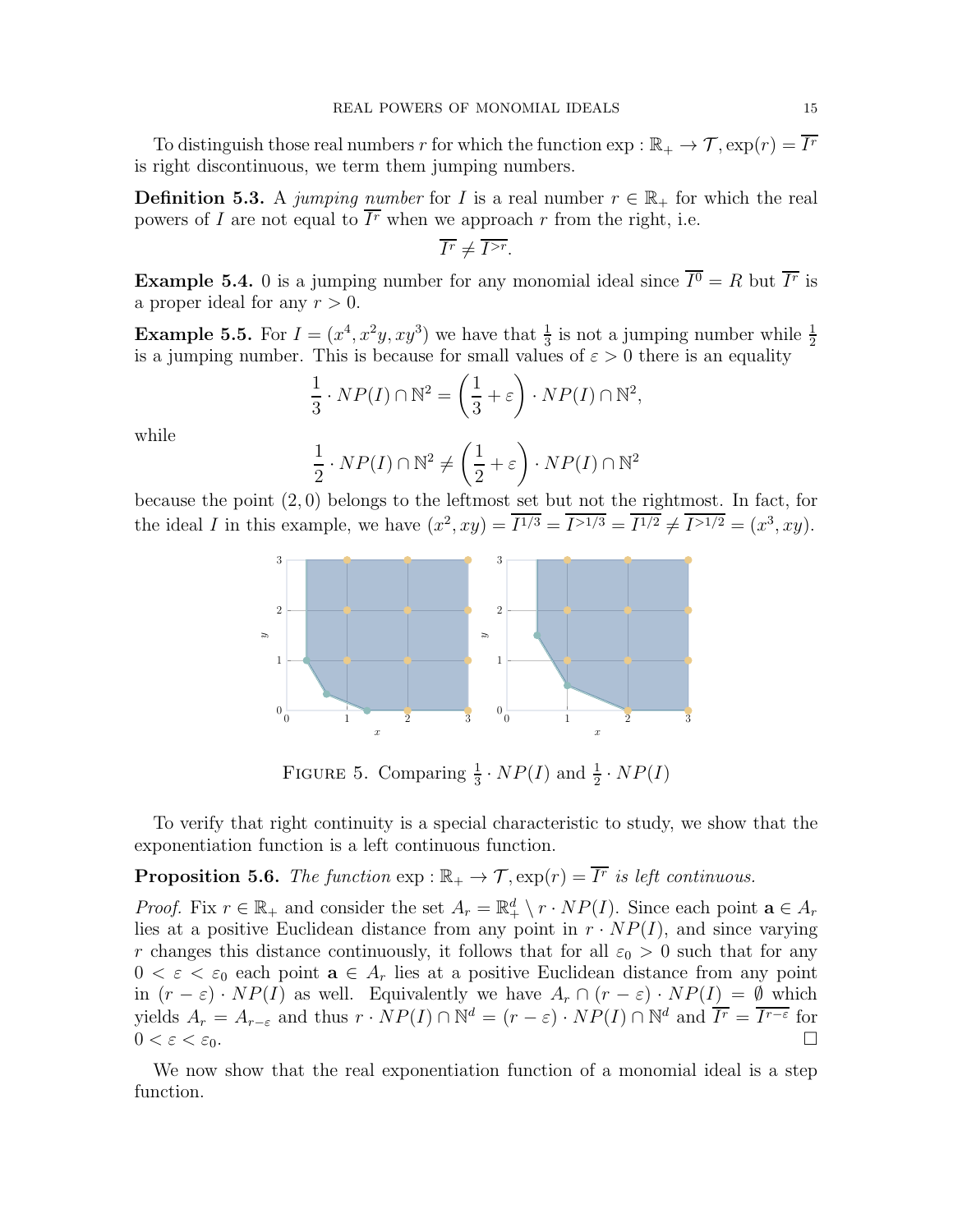To distinguish those real numbers r for which the function  $\exp : \mathbb{R}_+ \to \mathcal{T}, \exp(r) = I^r$ is right discontinuous, we term them jumping numbers.

**Definition 5.3.** A jumping number for I is a real number  $r \in \mathbb{R}_+$  for which the real powers of I are not equal to  $\overline{I^r}$  when we approach r from the right, i.e.

$$
\overline{I^r}\neq \overline{I^{>r}}.
$$

**Example 5.4.** 0 is a jumping number for any monomial ideal since  $I^0 = R$  but  $\overline{I^r}$  is a proper ideal for any  $r > 0$ .

**Example 5.5.** For  $I = (x^4, x^2y, xy^3)$  we have that  $\frac{1}{3}$  is not a jumping number while  $\frac{1}{2}$ is a jumping number. This is because for small values of  $\varepsilon > 0$  there is an equality

$$
\frac{1}{3} \cdot NP(I) \cap \mathbb{N}^2 = \left(\frac{1}{3} + \varepsilon\right) \cdot NP(I) \cap \mathbb{N}^2,
$$

while

$$
\frac{1}{2} \cdot NP(I) \cap \mathbb{N}^2 \neq \left(\frac{1}{2} + \varepsilon\right) \cdot NP(I) \cap \mathbb{N}^2
$$

because the point (2, 0) belongs to the leftmost set but not the rightmost. In fact, for the ideal I in this example, we have  $(x^2, xy) = I^{1/3} = I^{1/3} = I^{1/2} \neq I^{1/2} = (x^3, xy)$ .



FIGURE 5. Comparing  $\frac{1}{3} \cdot NP(I)$  and  $\frac{1}{2} \cdot NP(I)$ 

<span id="page-14-0"></span>To verify that right continuity is a special characteristic to study, we show that the exponentiation function is a left continuous function.

**Proposition 5.6.** The function  $\exp : \mathbb{R}_+ \to \mathcal{T}, \exp(r) = \overline{I^r}$  is left continuous.

*Proof.* Fix  $r \in \mathbb{R}_+$  and consider the set  $A_r = \mathbb{R}_+^d \setminus r \cdot NP(I)$ . Since each point  $\mathbf{a} \in A_r$ lies at a positive Euclidean distance from any point in  $r \cdot NP(I)$ , and since varying r changes this distance continuously, it follows that for all  $\varepsilon_0 > 0$  such that for any  $0 < \varepsilon < \varepsilon_0$  each point  $\mathbf{a} \in A_r$  lies at a positive Euclidean distance from any point in  $(r - \varepsilon) \cdot NP(I)$  as well. Equivalently we have  $A_r \cap (r - \varepsilon) \cdot NP(I) = \emptyset$  which yields  $A_r = A_{r-\varepsilon}$  and thus  $r \cdot NP(I) \cap \mathbb{N}^d = (r-\varepsilon) \cdot NP(I) \cap \mathbb{N}^d$  and  $\overline{I^r} = \overline{I^{r-\varepsilon}}$  for  $0 < \varepsilon < \varepsilon_0$ .

<span id="page-14-1"></span>We now show that the real exponentiation function of a monomial ideal is a step function.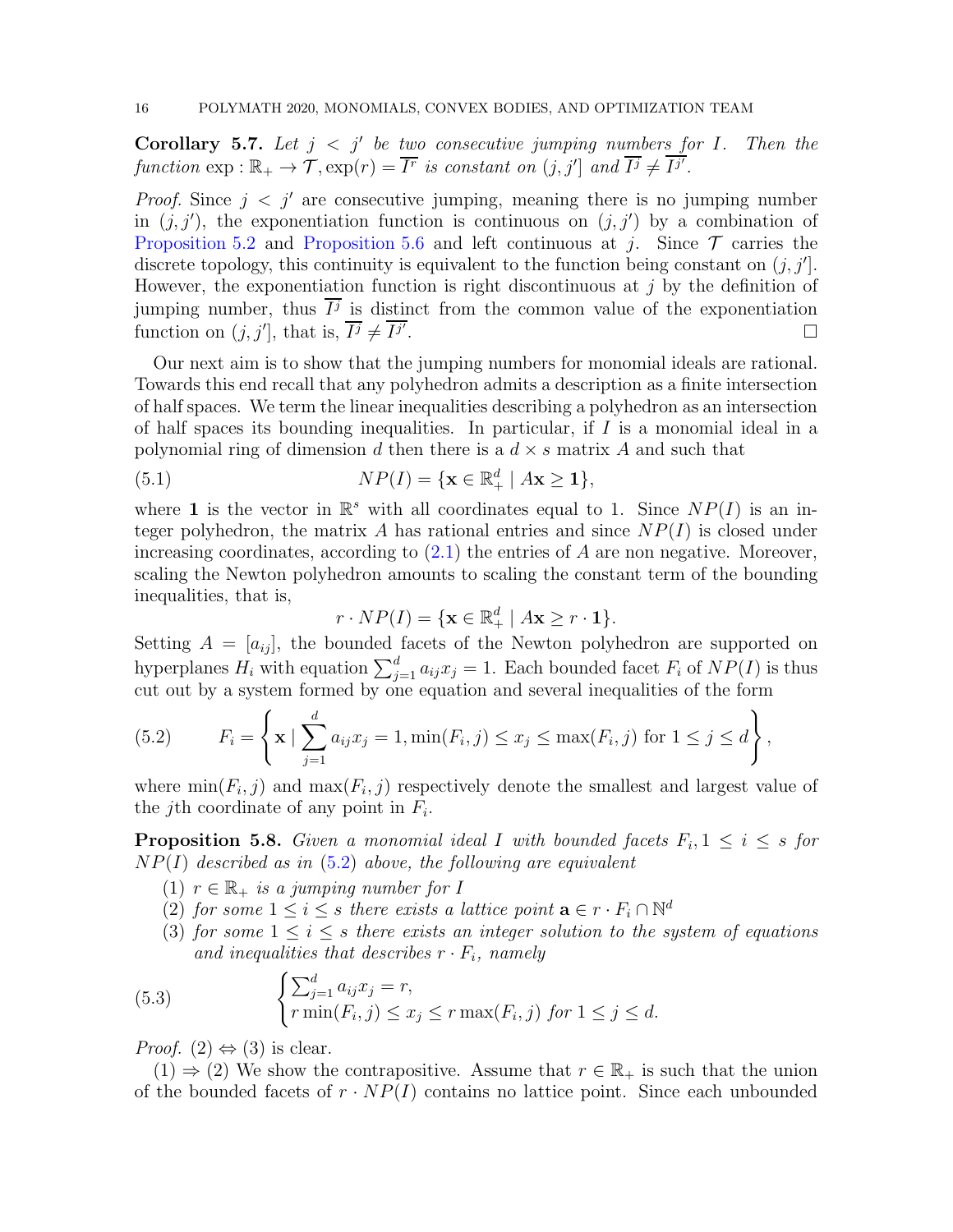**Corollary 5.7.** Let  $j < j'$  be two consecutive jumping numbers for I. Then the function  $\exp : \mathbb{R}_+ \to \mathcal{T}, \exp(r) = \overline{I^r}$  is constant on  $(j, j']$  and  $\overline{I^j} \neq \overline{I^{j'}}$ .

*Proof.* Since  $j < j'$  are consecutive jumping, meaning there is no jumping number in  $(j, j')$ , the exponentiation function is continuous on  $(j, j')$  by a combination of [Proposition 5.2](#page-13-0) and [Proposition 5.6](#page-14-0) and left continuous at j. Since  $\mathcal T$  carries the discrete topology, this continuity is equivalent to the function being constant on  $(j, j'$ . However, the exponentiation function is right discontinuous at  $j$  by the definition of jumping number, thus  $I^j$  is distinct from the common value of the exponentiation function on  $(j, j']$ , that is,  $\overline{I^j} \neq \overline{I^{j'}}$ . В последните поставите на селото на селото на селото на селото на селото на селото на селото на селото на се<br>Селото на селото на селото на селото на селото на селото на селото на селото на селото на селото на селото на

Our next aim is to show that the jumping numbers for monomial ideals are rational. Towards this end recall that any polyhedron admits a description as a finite intersection of half spaces. We term the linear inequalities describing a polyhedron as an intersection of half spaces its bounding inequalities. In particular, if  $I$  is a monomial ideal in a polynomial ring of dimension d then there is a  $d \times s$  matrix A and such that

(5.1) 
$$
NP(I) = \{ \mathbf{x} \in \mathbb{R}^d_+ \mid A\mathbf{x} \ge \mathbf{1} \},
$$

where 1 is the vector in  $\mathbb{R}^s$  with all coordinates equal to 1. Since  $NP(I)$  is an integer polyhedron, the matrix A has rational entries and since  $NP(I)$  is closed under increasing coordinates, according to  $(2.1)$  the entries of A are non negative. Moreover, scaling the Newton polyhedron amounts to scaling the constant term of the bounding inequalities, that is,

$$
r \cdot NP(I) = \{ \mathbf{x} \in \mathbb{R}^d_+ \mid A\mathbf{x} \ge r \cdot \mathbf{1} \}.
$$

Setting  $A = [a_{ij}]$ , the bounded facets of the Newton polyhedron are supported on hyperplanes  $H_i$  with equation  $\sum_{j=1}^d a_{ij}x_j = 1$ . Each bounded facet  $F_i$  of  $NP(I)$  is thus cut out by a system formed by one equation and several inequalities of the form

<span id="page-15-0"></span>(5.2) 
$$
F_i = \left\{ \mathbf{x} \mid \sum_{j=1}^d a_{ij} x_j = 1, \min(F_i, j) \leq x_j \leq \max(F_i, j) \text{ for } 1 \leq j \leq d \right\},
$$

<span id="page-15-2"></span>where  $min(F_i, j)$  and  $max(F_i, j)$  respectively denote the smallest and largest value of the *j*th coordinate of any point in  $F_i$ .

**Proposition 5.8.** Given a monomial ideal I with bounded facets  $F_i, 1 \leq i \leq s$  for  $NP(I)$  described as in  $(5.2)$  above, the following are equivalent

- (1)  $r \in \mathbb{R}_+$  is a jumping number for I
- (2) for some  $1 \leq i \leq s$  there exists a lattice point  $\mathbf{a} \in r \cdot F_i \cap \mathbb{N}^d$
- <span id="page-15-1"></span>(3) for some  $1 \leq i \leq s$  there exists an integer solution to the system of equations and inequalities that describes  $r \cdot F_i$ , namely

(5.3) 
$$
\begin{cases} \sum_{j=1}^{d} a_{ij} x_j = r, \\ r \min(F_i, j) \leq x_j \leq r \max(F_i, j) \text{ for } 1 \leq j \leq d. \end{cases}
$$

*Proof.* (2)  $\Leftrightarrow$  (3) is clear.

(1)  $\Rightarrow$  (2) We show the contrapositive. Assume that  $r \in \mathbb{R}_+$  is such that the union of the bounded facets of  $r \cdot NP(I)$  contains no lattice point. Since each unbounded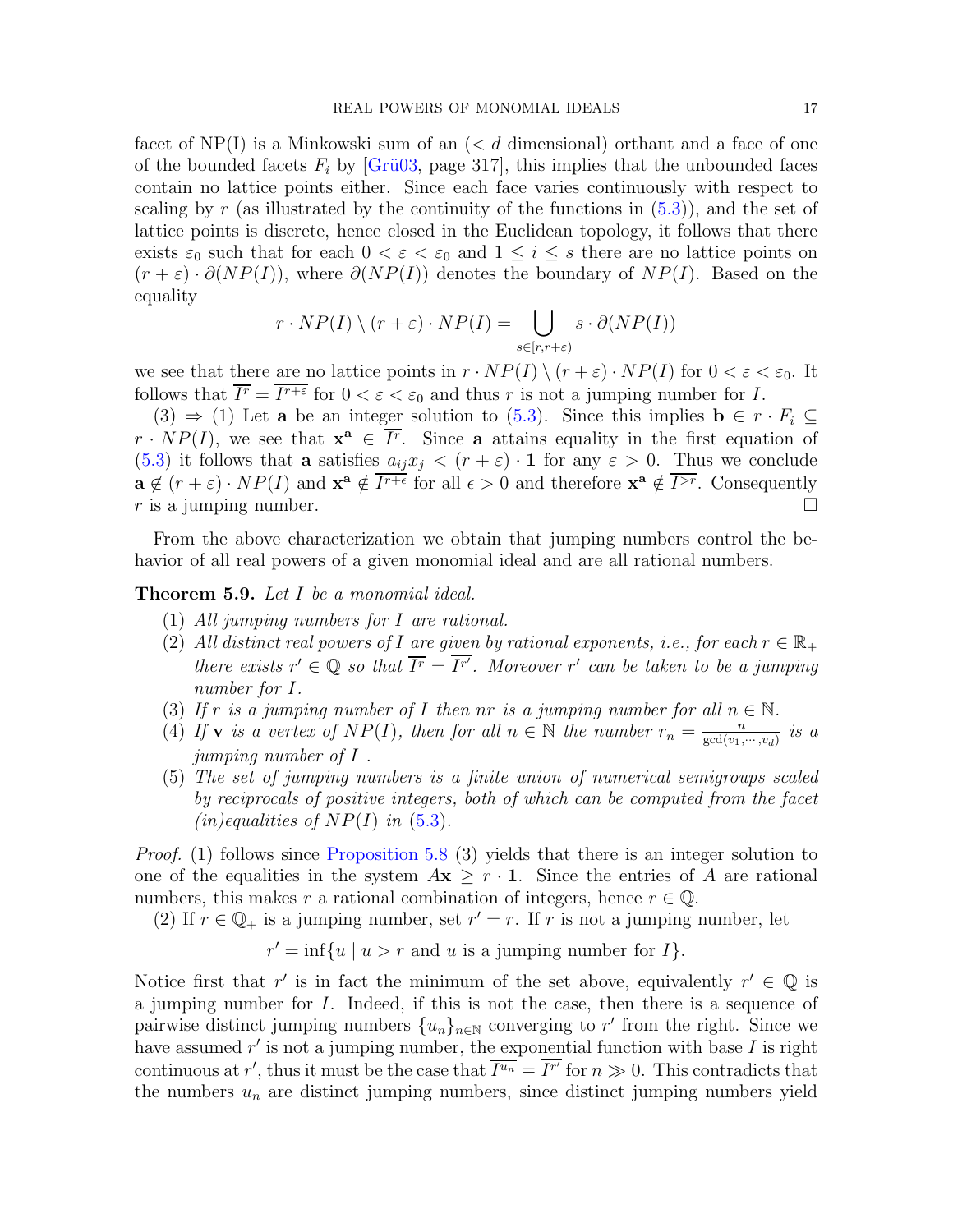facet of  $NP(I)$  is a Minkowski sum of an  $(< d$  dimensional) orthant and a face of one of the bounded facets  $F_i$  by [Grü03, page 317], this implies that the unbounded faces contain no lattice points either. Since each face varies continuously with respect to scaling by r (as illustrated by the continuity of the functions in  $(5.3)$ ), and the set of lattice points is discrete, hence closed in the Euclidean topology, it follows that there exists  $\varepsilon_0$  such that for each  $0 < \varepsilon < \varepsilon_0$  and  $1 \leq i \leq s$  there are no lattice points on  $(r + \varepsilon) \cdot \partial (NP(I))$ , where  $\partial (NP(I))$  denotes the boundary of  $NP(I)$ . Based on the equality

$$
r \cdot NP(I) \setminus (r + \varepsilon) \cdot NP(I) = \bigcup_{s \in [r, r + \varepsilon)} s \cdot \partial (NP(I))
$$

we see that there are no lattice points in  $r \cdot NP(I) \setminus (r + \varepsilon) \cdot NP(I)$  for  $0 < \varepsilon < \varepsilon_0$ . It follows that  $\overline{I^r} = \overline{I^{r+\varepsilon}}$  for  $0 < \varepsilon < \varepsilon_0$  and thus r is not a jumping number for I.

(3)  $\Rightarrow$  (1) Let **a** be an integer solution to [\(5.3\)](#page-15-1). Since this implies  $\mathbf{b} \in r \cdot F_i \subseteq$  $r \cdot NP(I)$ , we see that  $\mathbf{x}^{\mathbf{a}} \in \overline{I^r}$ . Since **a** attains equality in the first equation of [\(5.3\)](#page-15-1) it follows that a satisfies  $a_{ij}x_j \le (r + \varepsilon) \cdot \mathbf{1}$  for any  $\varepsilon > 0$ . Thus we conclude  $\mathbf{a} \notin (r + \varepsilon) \cdot NP(I)$  and  $\mathbf{x}^{\mathbf{a}} \notin \overline{I^{r+\varepsilon}}$  for all  $\epsilon > 0$  and therefore  $\mathbf{x}^{\mathbf{a}} \notin \overline{I^{>r}}$ . Consequently r is a jumping number.

<span id="page-16-0"></span>From the above characterization we obtain that jumping numbers control the behavior of all real powers of a given monomial ideal and are all rational numbers.

Theorem 5.9. Let I be a monomial ideal.

- (1) All jumping numbers for I are rational.
- (2) All distinct real powers of I are given by rational exponents, i.e., for each  $r \in \mathbb{R}_+$ there exists  $r' \in \mathbb{Q}$  so that  $\overline{I^r} = \overline{I^{r'}}$ . Moreover r' can be taken to be a jumping number for I.
- (3) If r is a jumping number of I then nr is a jumping number for all  $n \in \mathbb{N}$ .
- (4) If **v** is a vertex of  $NP(I)$ , then for all  $n \in \mathbb{N}$  the number  $r_n = \frac{n}{\gcd(n)}$ .  $rac{n}{\gcd(v_1,\cdots,v_d)}$  is a jumping number of I .
- (5) The set of jumping numbers is a finite union of numerical semigroups scaled by reciprocals of positive integers, both of which can be computed from the facet  $(in) equalities of NP(I) in (5.3).$  $(in) equalities of NP(I) in (5.3).$  $(in) equalities of NP(I) in (5.3).$

Proof. (1) follows since [Proposition 5.8](#page-15-2) (3) yields that there is an integer solution to one of the equalities in the system  $A\mathbf{x} \geq r \cdot \mathbf{1}$ . Since the entries of A are rational numbers, this makes r a rational combination of integers, hence  $r \in \mathbb{Q}$ .

(2) If  $r \in \mathbb{Q}_+$  is a jumping number, set  $r' = r$ . If r is not a jumping number, let

$$
r' = \inf\{u \mid u > r \text{ and } u \text{ is a jumping number for } I\}.
$$

Notice first that r' is in fact the minimum of the set above, equivalently  $r' \in \mathbb{Q}$  is a jumping number for I. Indeed, if this is not the case, then there is a sequence of pairwise distinct jumping numbers  $\{u_n\}_{n\in\mathbb{N}}$  converging to r' from the right. Since we have assumed  $r'$  is not a jumping number, the exponential function with base  $I$  is right continuous at r', thus it must be the case that  $\overline{I^{u_n}} = \overline{I^{r'}}$  for  $n \gg 0$ . This contradicts that the numbers  $u_n$  are distinct jumping numbers, since distinct jumping numbers yield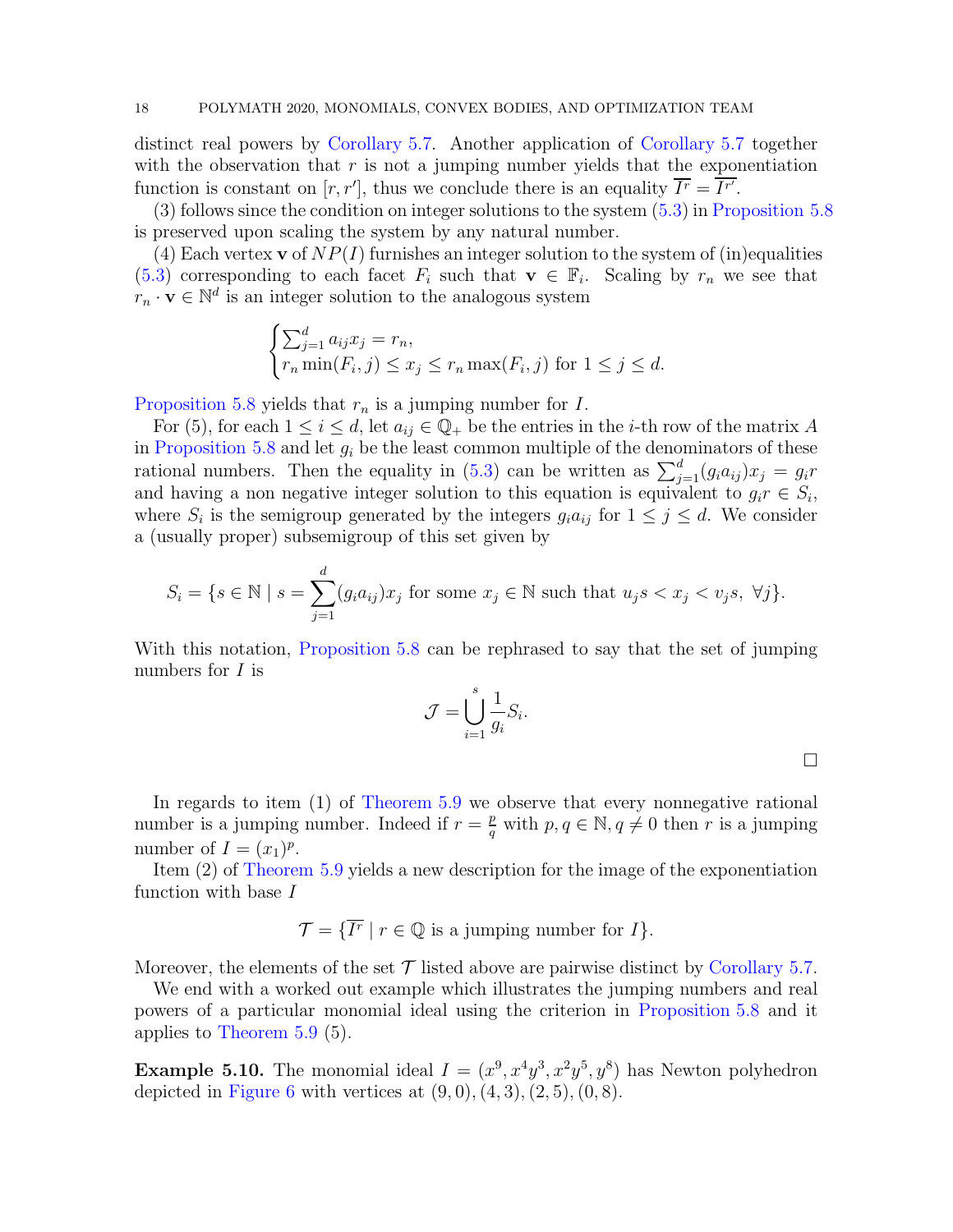distinct real powers by [Corollary 5.7.](#page-14-1) Another application of [Corollary 5.7](#page-14-1) together with the observation that  $r$  is not a jumping number yields that the exponentiation function is constant on  $[r, r']$ , thus we conclude there is an equality  $\overline{I^r} = \overline{I^{r'}}$ .

(3) follows since the condition on integer solutions to the system [\(5.3\)](#page-15-1) in [Proposition 5.8](#page-15-2) is preserved upon scaling the system by any natural number.

(4) Each vertex **v** of  $NP(I)$  furnishes an integer solution to the system of (in)equalities [\(5.3\)](#page-15-1) corresponding to each facet  $F_i$  such that  $\mathbf{v} \in \mathbb{F}_i$ . Scaling by  $r_n$  we see that  $r_n \cdot \mathbf{v} \in \mathbb{N}^d$  is an integer solution to the analogous system

$$
\begin{cases} \sum_{j=1}^{d} a_{ij} x_j = r_n, \\ r_n \min(F_i, j) \le x_j \le r_n \max(F_i, j) \text{ for } 1 \le j \le d. \end{cases}
$$

[Proposition 5.8](#page-15-2) yields that  $r_n$  is a jumping number for I.

For (5), for each  $1 \leq i \leq d$ , let  $a_{ij} \in \mathbb{Q}_+$  be the entries in the *i*-th row of the matrix A in [Proposition 5.8](#page-15-2) and let  $g_i$  be the least common multiple of the denominators of these rational numbers. Then the equality in [\(5.3\)](#page-15-1) can be written as  $\sum_{j=1}^{d} (g_i a_{ij}) x_j = g_i r$ and having a non negative integer solution to this equation is equivalent to  $g_i r \in S_i$ , where  $S_i$  is the semigroup generated by the integers  $g_i a_{ij}$  for  $1 \leq j \leq d$ . We consider a (usually proper) subsemigroup of this set given by

$$
S_i = \{ s \in \mathbb{N} \mid s = \sum_{j=1}^d (g_i a_{ij}) x_j \text{ for some } x_j \in \mathbb{N} \text{ such that } u_j s < x_j < v_j s, \ \forall j \}.
$$

With this notation, [Proposition 5.8](#page-15-2) can be rephrased to say that the set of jumping numbers for *I* is

$$
\mathcal{J} = \bigcup_{i=1}^{s} \frac{1}{g_i} S_i.
$$

 $\Box$ 

In regards to item (1) of [Theorem 5.9](#page-16-0) we observe that every nonnegative rational number is a jumping number. Indeed if  $r = \frac{p}{q}$  $\frac{p}{q}$  with  $p, q \in \mathbb{N}, q \neq 0$  then r is a jumping number of  $I = (x_1)^p$ .

Item (2) of [Theorem 5.9](#page-16-0) yields a new description for the image of the exponentiation function with base I

$$
\mathcal{T} = \{ \overline{I^r} \mid r \in \mathbb{Q} \text{ is a jumping number for } I \}.
$$

Moreover, the elements of the set  $\mathcal T$  listed above are pairwise distinct by [Corollary 5.7.](#page-14-1)

We end with a worked out example which illustrates the jumping numbers and real powers of a particular monomial ideal using the criterion in [Proposition 5.8](#page-15-2) and it applies to [Theorem 5.9](#page-16-0) (5).

**Example 5.10.** The monomial ideal  $I = (x^9, x^4y^3, x^2y^5, y^8)$  has Newton polyhedron depicted in [Figure 6](#page-18-0) with vertices at  $(9,0), (4,3), (2,5), (0,8)$ .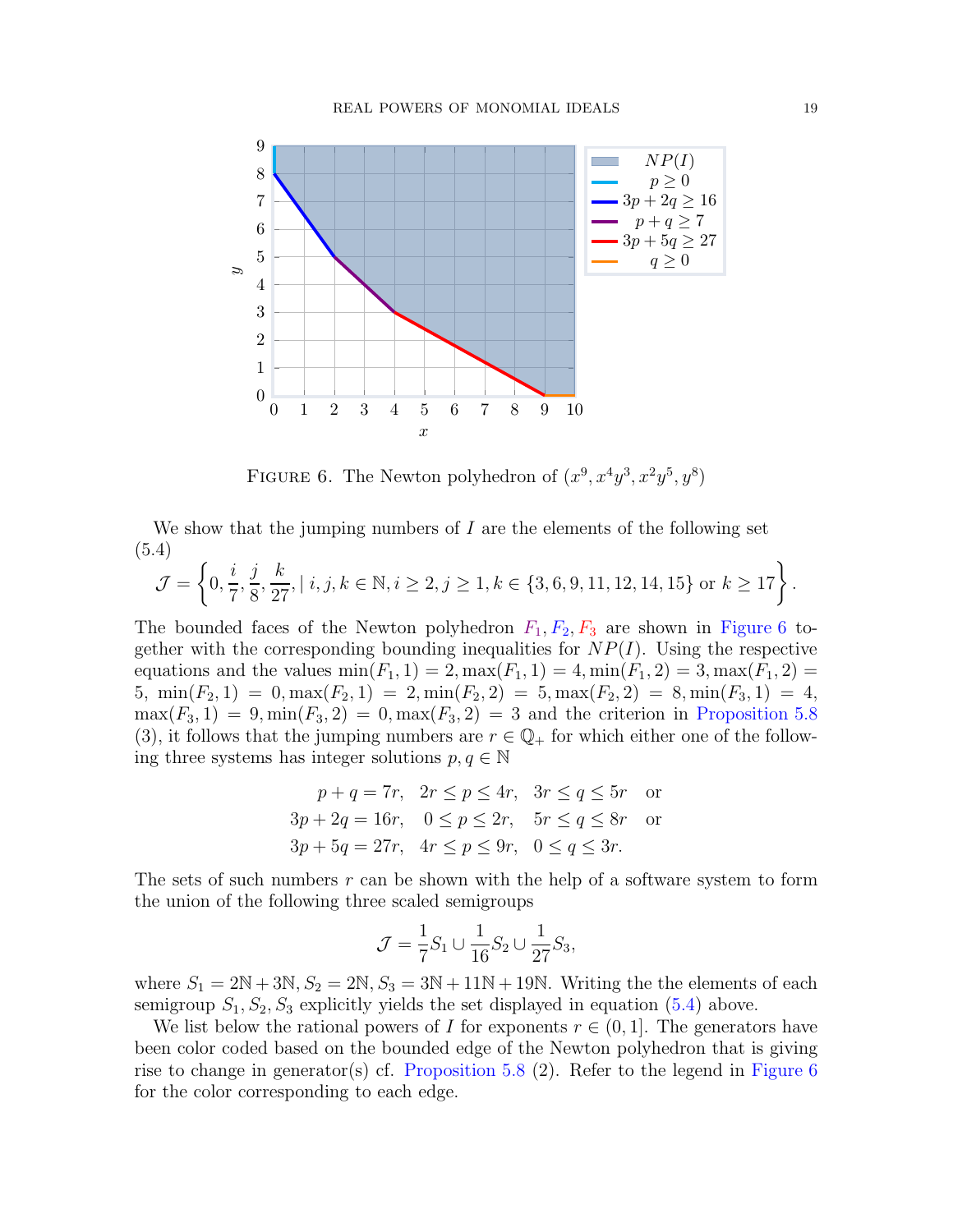

<span id="page-18-0"></span>FIGURE 6. The Newton polyhedron of  $(x^9, x^4y^3, x^2y^5, y^8)$ 

We show that the jumping numbers of  $I$  are the elements of the following set (5.4)

<span id="page-18-1"></span>
$$
\mathcal{J} = \left\{0, \frac{i}{7}, \frac{j}{8}, \frac{k}{27}, | \ i, j, k \in \mathbb{N}, i \ge 2, j \ge 1, k \in \{3, 6, 9, 11, 12, 14, 15\} \text{ or } k \ge 17\right\}.
$$

The bounded faces of the Newton polyhedron  $F_1, F_2, F_3$  are shown in [Figure 6](#page-18-0) together with the corresponding bounding inequalities for  $NP(I)$ . Using the respective equations and the values  $min(F_1, 1) = 2, max(F_1, 1) = 4, min(F_1, 2) = 3, max(F_1, 2) =$ 5, min $(F_2, 1) = 0$ , max $(F_2, 1) = 2$ , min $(F_2, 2) = 5$ , max $(F_2, 2) = 8$ , min $(F_3, 1) = 4$ ,  $\max(F_3, 1) = 9, \min(F_3, 2) = 0, \max(F_3, 2) = 3$  and the criterion in [Proposition 5.8](#page-15-2) (3), it follows that the jumping numbers are  $r \in \mathbb{Q}_+$  for which either one of the following three systems has integer solutions  $p, q \in \mathbb{N}$ 

$$
p + q = 7r, \quad 2r \le p \le 4r, \quad 3r \le q \le 5r \quad \text{or}
$$
  
\n
$$
3p + 2q = 16r, \quad 0 \le p \le 2r, \quad 5r \le q \le 8r \quad \text{or}
$$
  
\n
$$
3p + 5q = 27r, \quad 4r \le p \le 9r, \quad 0 \le q \le 3r.
$$

The sets of such numbers  $r$  can be shown with the help of a software system to form the union of the following three scaled semigroups

$$
\mathcal{J} = \frac{1}{7}S_1 \cup \frac{1}{16}S_2 \cup \frac{1}{27}S_3,
$$

where  $S_1 = 2N + 3N$ ,  $S_2 = 2N$ ,  $S_3 = 3N + 11N + 19N$ . Writing the the elements of each semigroup  $S_1, S_2, S_3$  explicitly yields the set displayed in equation [\(5.4\)](#page-18-1) above.

We list below the rational powers of I for exponents  $r \in (0, 1]$ . The generators have been color coded based on the bounded edge of the Newton polyhedron that is giving rise to change in generator(s) cf. [Proposition 5.8](#page-15-2)  $(2)$ . Refer to the legend in [Figure 6](#page-18-0) for the color corresponding to each edge.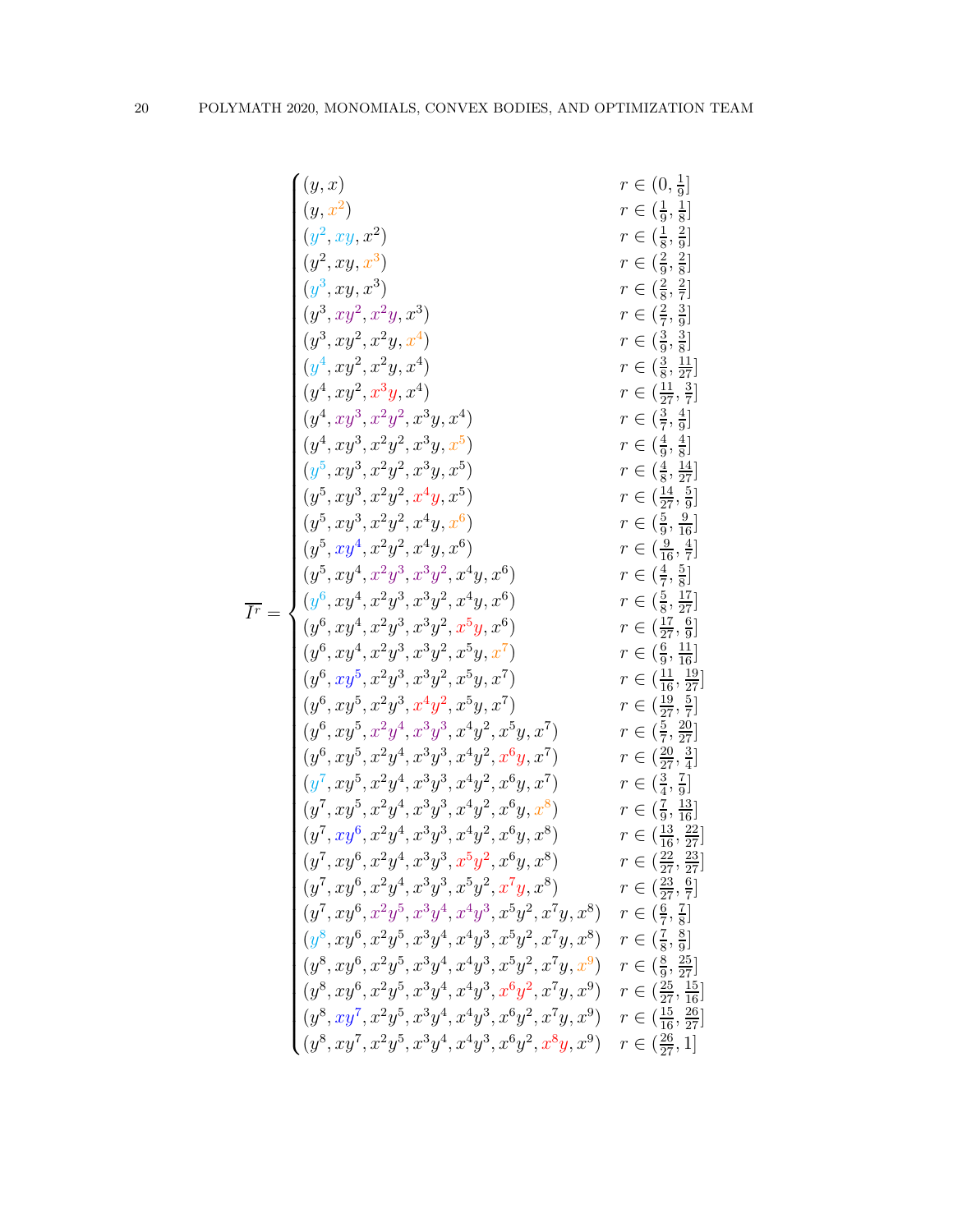| (y,x)                                                                                          | $r\in(0,\frac{1}{9}]$                |                                        |
|------------------------------------------------------------------------------------------------|--------------------------------------|----------------------------------------|
|                                                                                                |                                      |                                        |
| $(y, x^2)$                                                                                     | $r \in (\frac{1}{9}, \frac{1}{8}]$   |                                        |
| $(y^2, xy, x^2)$                                                                               | $r \in (\frac{1}{8}, \frac{2}{9}]$   |                                        |
| $(y^2, xy, x^3)$                                                                               | $r \in (\frac{2}{9}, \frac{2}{8}]$   |                                        |
| $(y^3, xy, x^3)$                                                                               | $r \in (\frac{2}{8}, \frac{2}{7}]$   |                                        |
| $(y^3, xy^2, x^2y, x^3)$                                                                       | $r \in (\frac{2}{7}, \frac{3}{9}]$   |                                        |
| $(y^3, xy^2, x^2y, x^4)$                                                                       | $r \in (\frac{3}{9}, \frac{3}{8}]$   |                                        |
| $(y^4, xy^2, x^2y, x^4)$                                                                       |                                      | $r \in (\frac{3}{8}, \frac{11}{27}]$   |
| $(y^4, xy^2, x^3y, x^4)$                                                                       | $r \in (\frac{11}{27}, \frac{3}{7}]$ |                                        |
| $(y^4, xy^3, x^2y^2, x^3y, x^4)$                                                               | $r \in (\frac{3}{7}, \frac{4}{9}]$   |                                        |
| $(y^4, xy^3, x^2y^2, x^3y, x^5)$                                                               | $r \in (\frac{4}{9}, \frac{4}{8}]$   |                                        |
| $(y^5, xy^3, x^2y^2, x^3y, x^5)$                                                               |                                      | $r \in (\frac{4}{8}, \frac{14}{27}]$   |
| $(y^5, xy^3, x^2y^2, x^4y, x^5)$                                                               |                                      | $r \in (\frac{14}{27}, \frac{5}{9}]$   |
| $(y^5, xy^3, x^2y^2, x^4y, x^6)$                                                               |                                      | $r \in (\frac{5}{9}, \frac{9}{16}]$    |
| $(y^5, xy^4, x^2y^2, x^4y, x^6)$                                                               |                                      | $r \in (\frac{9}{16}, \frac{4}{7}]$    |
| $(y^5, xy^4, x^2y^3, x^3y^2, x^4y, x^6)$                                                       | $r \in (\frac{4}{7}, \frac{5}{8}]$   |                                        |
| $(y^6, xy^4, x^2y^3, x^3y^2, x^4y, x^6)$                                                       |                                      | $r \in (\frac{5}{8}, \frac{17}{27}]$   |
| $(y^6, xy^4, x^2y^3, x^3y^2, x^5y, x^6)$                                                       |                                      | $r \in (\frac{17}{27}, \frac{6}{9}]$   |
| $(y^6, xy^4, x^2y^3, x^3y^2, x^5y, x^7)$                                                       |                                      | $r \in (\frac{6}{9}, \frac{11}{16}]$   |
| $(y^6, xy^5, x^2y^3, x^3y^2, x^5y, x^7)$                                                       |                                      | $r \in (\frac{11}{16}, \frac{19}{27})$ |
| $(y^6, xy^5, x^2y^3, x^4y^2, x^5y, x^7)$                                                       |                                      | $r \in (\frac{19}{27}, \frac{5}{7}]$   |
| $(y^6, xy^5, x^2y^4, x^3y^3, x^4y^2, x^5y, x^7)$                                               |                                      | $r \in (\frac{5}{7}, \frac{20}{27}]$   |
| $(y^6, xy^5, x^2y^4, x^3y^3, x^4y^2, x^6y, x^7)$                                               |                                      | $r \in (\frac{20}{27}, \frac{3}{4}]$   |
| $(y^7, xy^5, x^2y^4, x^3y^3, x^4y^2, x^6y, x^7)$                                               | $r \in (\frac{3}{4}, \frac{7}{9}]$   |                                        |
| $(y^7, xy^5, x^2y^4, x^3y^3, x^4y^2, x^6y, x^8)$                                               |                                      | $r \in (\frac{7}{9}, \frac{13}{16}]$   |
| $(y^7, xy^6, x^2y^4, x^3y^3, x^4y^2, x^6y, x^8)$                                               |                                      | $r \in (\frac{13}{16}, \frac{22}{27}]$ |
| $(y^{7}, xy^{6}, x^{2}y^{4}, x^{3}y^{3}, x^{5}y^{2}, x^{6}y, x^{8})$                           |                                      | $r \in (\frac{22}{27}, \frac{23}{27}]$ |
| $(y^7, xy^6, x^2y^4, x^3y^3, x^5y^2, x^7y, x^8)$                                               |                                      | $r \in (\frac{23}{27}, \frac{6}{7}]$   |
| $(y^7, xy^6, x^2y^5, x^3y^4, x^4y^3, x^5y^2, x^7y, x^8)$                                       | $r \in (\frac{6}{7}, \frac{7}{8}]$   |                                        |
| $(y^8, xy^6, x^2y^5, x^3y^4, x^4y^3, x^5y^2, x^7y, x^8)$<br>$r \in (\frac{7}{8}, \frac{8}{9}]$ |                                      |                                        |
| $(y^8, xy^6, x^2y^5, x^3y^4, x^4y^3, x^5y^2, x^7y, x^9)$                                       |                                      | $r \in (\frac{8}{9}, \frac{25}{27}]$   |
| $(y^8,xy^6,x^2y^5,x^3y^4,x^4y^3,x^6y^2,x^7y,x^9)$                                              |                                      | $r \in (\frac{25}{27}, \frac{15}{16}]$ |
| $(y^8,xy^7,x^2y^5,x^3y^4,x^4y^3,x^6y^2,x^7y,x^9)$                                              |                                      | $r \in (\frac{15}{16}, \frac{26}{27})$ |
| $(y^8, xy^7, x^2y^5, x^3y^4, x^4y^3, x^6y^2, x^8y, x^9)$                                       |                                      | $r \in (\frac{26}{27}, 1]$             |